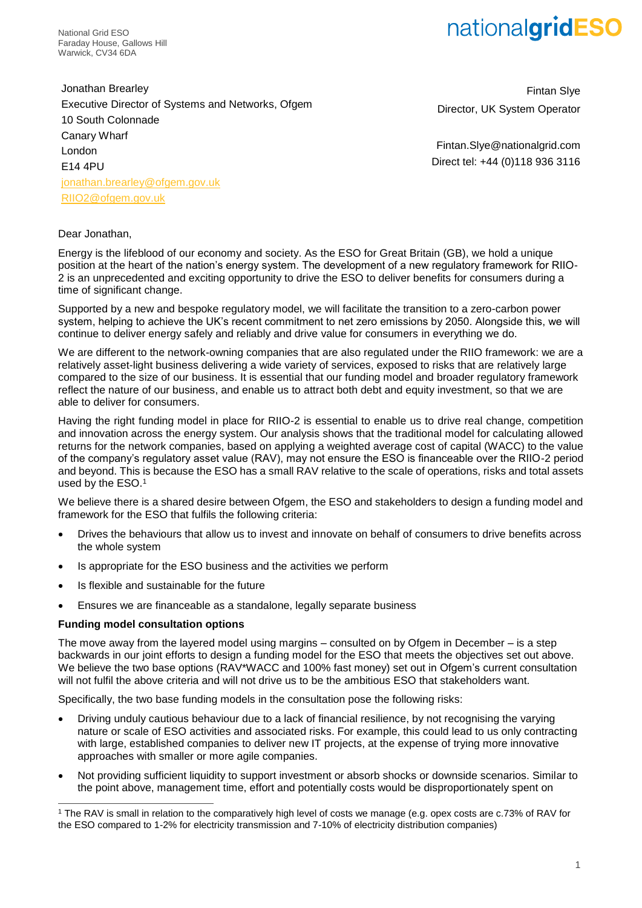National Grid ESO Faraday House, Gallows Hill Warwick, CV34 6DA

Jonathan Brearley Executive Director of Systems and Networks, Ofgem 10 South Colonnade Canary Wharf London E14 4PU [jonathan.brearley@ofgem.gov.uk](mailto:jonathan.brearley@ofgem.gov.uk) [RIIO2@ofgem.gov.uk](mailto:RIIO2@ofgem.gov.uk)

Fintan Slye Director, UK System Operator

Fintan.Slye@nationalgrid.com Direct tel: +44 (0)118 936 3116

### Dear Jonathan,

Energy is the lifeblood of our economy and society. As the ESO for Great Britain (GB), we hold a unique position at the heart of the nation's energy system. The development of a new regulatory framework for RIIO-2 is an unprecedented and exciting opportunity to drive the ESO to deliver benefits for consumers during a time of significant change.

Supported by a new and bespoke regulatory model, we will facilitate the transition to a zero-carbon power system, helping to achieve the UK's recent commitment to net zero emissions by 2050. Alongside this, we will continue to deliver energy safely and reliably and drive value for consumers in everything we do.

We are different to the network-owning companies that are also regulated under the RIIO framework: we are a relatively asset-light business delivering a wide variety of services, exposed to risks that are relatively large compared to the size of our business. It is essential that our funding model and broader regulatory framework reflect the nature of our business, and enable us to attract both debt and equity investment, so that we are able to deliver for consumers.

Having the right funding model in place for RIIO-2 is essential to enable us to drive real change, competition and innovation across the energy system. Our analysis shows that the traditional model for calculating allowed returns for the network companies, based on applying a weighted average cost of capital (WACC) to the value of the company's regulatory asset value (RAV), may not ensure the ESO is financeable over the RIIO-2 period and beyond. This is because the ESO has a small RAV relative to the scale of operations, risks and total assets used by the ESO.<sup>1</sup>

We believe there is a shared desire between Ofgem, the ESO and stakeholders to design a funding model and framework for the ESO that fulfils the following criteria:

- Drives the behaviours that allow us to invest and innovate on behalf of consumers to drive benefits across the whole system
- Is appropriate for the ESO business and the activities we perform
- Is flexible and sustainable for the future
- Ensures we are financeable as a standalone, legally separate business

### **Funding model consultation options**

-

The move away from the layered model using margins – consulted on by Ofgem in December – is a step backwards in our joint efforts to design a funding model for the ESO that meets the objectives set out above. We believe the two base options (RAV\*WACC and 100% fast money) set out in Ofgem's current consultation will not fulfil the above criteria and will not drive us to be the ambitious ESO that stakeholders want.

Specifically, the two base funding models in the consultation pose the following risks:

- Driving unduly cautious behaviour due to a lack of financial resilience, by not recognising the varying nature or scale of ESO activities and associated risks. For example, this could lead to us only contracting with large, established companies to deliver new IT projects, at the expense of trying more innovative approaches with smaller or more agile companies.
- Not providing sufficient liquidity to support investment or absorb shocks or downside scenarios. Similar to the point above, management time, effort and potentially costs would be disproportionately spent on

<sup>1</sup> The RAV is small in relation to the comparatively high level of costs we manage (e.g. opex costs are c.73% of RAV for the ESO compared to 1-2% for electricity transmission and 7-10% of electricity distribution companies)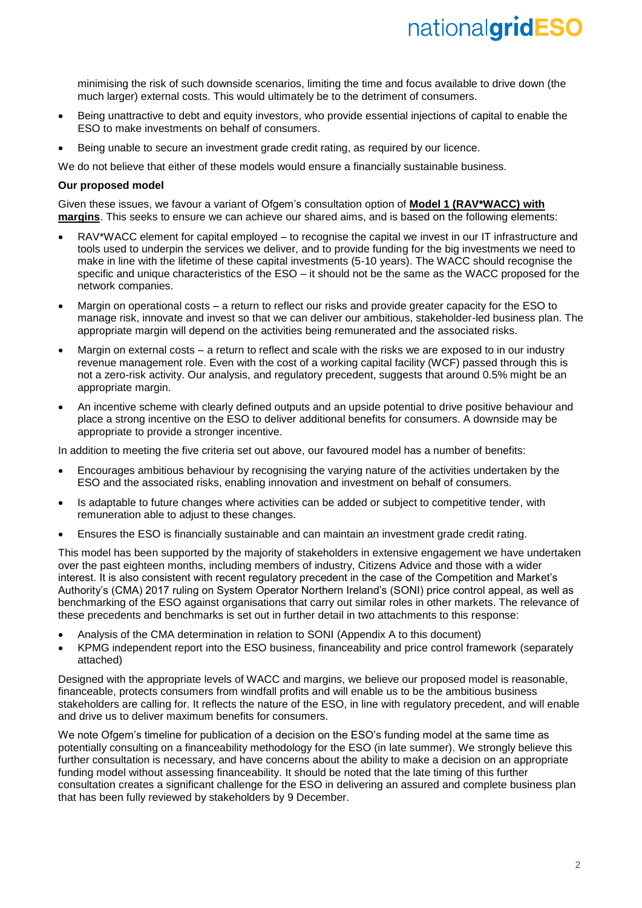minimising the risk of such downside scenarios, limiting the time and focus available to drive down (the much larger) external costs. This would ultimately be to the detriment of consumers.

- Being unattractive to debt and equity investors, who provide essential injections of capital to enable the ESO to make investments on behalf of consumers.
- Being unable to secure an investment grade credit rating, as required by our licence.

We do not believe that either of these models would ensure a financially sustainable business.

### **Our proposed model**

Given these issues, we favour a variant of Ofgem's consultation option of **Model 1 (RAV\*WACC) with margins**. This seeks to ensure we can achieve our shared aims, and is based on the following elements:

- RAV\*WACC element for capital employed to recognise the capital we invest in our IT infrastructure and tools used to underpin the services we deliver, and to provide funding for the big investments we need to make in line with the lifetime of these capital investments (5-10 years). The WACC should recognise the specific and unique characteristics of the ESO – it should not be the same as the WACC proposed for the network companies.
- Margin on operational costs a return to reflect our risks and provide greater capacity for the ESO to manage risk, innovate and invest so that we can deliver our ambitious, stakeholder-led business plan. The appropriate margin will depend on the activities being remunerated and the associated risks.
- Margin on external costs a return to reflect and scale with the risks we are exposed to in our industry revenue management role. Even with the cost of a working capital facility (WCF) passed through this is not a zero-risk activity. Our analysis, and regulatory precedent, suggests that around 0.5% might be an appropriate margin.
- An incentive scheme with clearly defined outputs and an upside potential to drive positive behaviour and place a strong incentive on the ESO to deliver additional benefits for consumers. A downside may be appropriate to provide a stronger incentive.

In addition to meeting the five criteria set out above, our favoured model has a number of benefits:

- Encourages ambitious behaviour by recognising the varying nature of the activities undertaken by the ESO and the associated risks, enabling innovation and investment on behalf of consumers.
- Is adaptable to future changes where activities can be added or subject to competitive tender, with remuneration able to adjust to these changes.
- Ensures the ESO is financially sustainable and can maintain an investment grade credit rating.

This model has been supported by the majority of stakeholders in extensive engagement we have undertaken over the past eighteen months, including members of industry, Citizens Advice and those with a wider interest. It is also consistent with recent regulatory precedent in the case of the Competition and Market's Authority's (CMA) 2017 ruling on System Operator Northern Ireland's (SONI) price control appeal, as well as benchmarking of the ESO against organisations that carry out similar roles in other markets. The relevance of these precedents and benchmarks is set out in further detail in two attachments to this response:

- Analysis of the CMA determination in relation to SONI (Appendix A to this document)
- KPMG independent report into the ESO business, financeability and price control framework (separately attached)

Designed with the appropriate levels of WACC and margins, we believe our proposed model is reasonable, financeable, protects consumers from windfall profits and will enable us to be the ambitious business stakeholders are calling for. It reflects the nature of the ESO, in line with regulatory precedent, and will enable and drive us to deliver maximum benefits for consumers.

We note Ofgem's timeline for publication of a decision on the ESO's funding model at the same time as potentially consulting on a financeability methodology for the ESO (in late summer). We strongly believe this further consultation is necessary, and have concerns about the ability to make a decision on an appropriate funding model without assessing financeability. It should be noted that the late timing of this further consultation creates a significant challenge for the ESO in delivering an assured and complete business plan that has been fully reviewed by stakeholders by 9 December.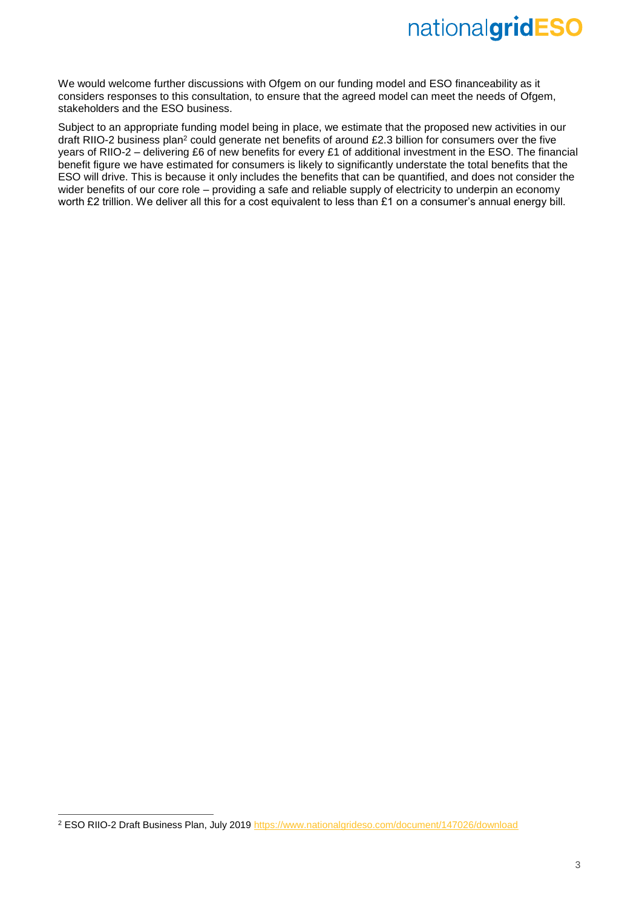We would welcome further discussions with Ofgem on our funding model and ESO financeability as it considers responses to this consultation, to ensure that the agreed model can meet the needs of Ofgem, stakeholders and the ESO business.

Subject to an appropriate funding model being in place, we estimate that the proposed new activities in our draft RIIO-2 business plan<sup>2</sup> could generate net benefits of around £2.3 billion for consumers over the five years of RIIO-2 – delivering £6 of new benefits for every £1 of additional investment in the ESO. The financial benefit figure we have estimated for consumers is likely to significantly understate the total benefits that the ESO will drive. This is because it only includes the benefits that can be quantified, and does not consider the wider benefits of our core role – providing a safe and reliable supply of electricity to underpin an economy worth £2 trillion. We deliver all this for a cost equivalent to less than £1 on a consumer's annual energy bill.

 $\overline{a}$ 

<sup>&</sup>lt;sup>2</sup> ESO RIIO-2 Draft Business Plan, July 2019<https://www.nationalgrideso.com/document/147026/download>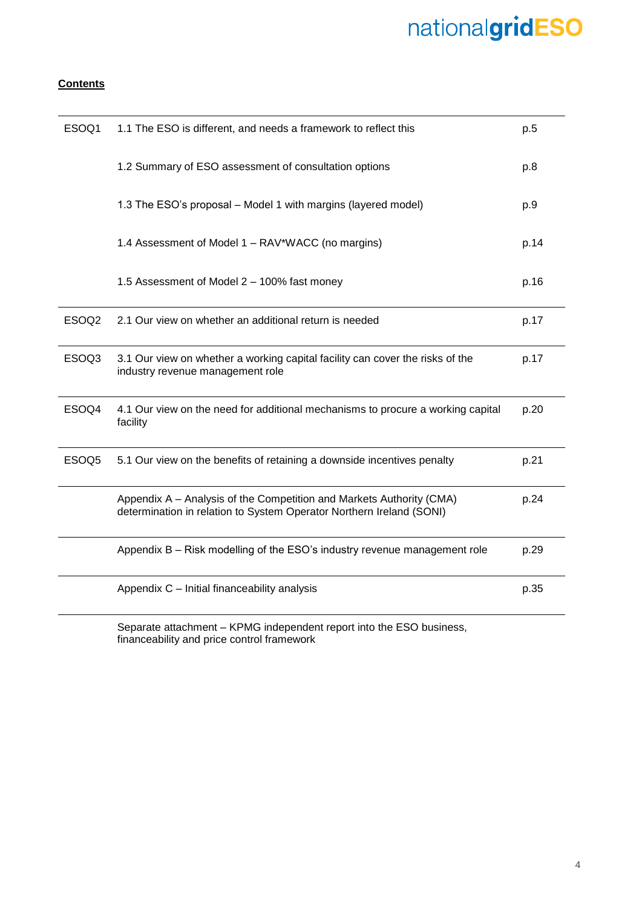## **Contents**

| ESOQ1             | 1.1 The ESO is different, and needs a framework to reflect this                                                                              | p.5  |
|-------------------|----------------------------------------------------------------------------------------------------------------------------------------------|------|
|                   | 1.2 Summary of ESO assessment of consultation options                                                                                        | p.8  |
|                   | 1.3 The ESO's proposal – Model 1 with margins (layered model)                                                                                | p.9  |
|                   | 1.4 Assessment of Model 1 – RAV*WACC (no margins)                                                                                            | p.14 |
|                   | 1.5 Assessment of Model 2 - 100% fast money                                                                                                  | p.16 |
| ESOQ <sub>2</sub> | 2.1 Our view on whether an additional return is needed                                                                                       | p.17 |
| ESOQ3             | 3.1 Our view on whether a working capital facility can cover the risks of the<br>industry revenue management role                            | p.17 |
| ESOQ4             | 4.1 Our view on the need for additional mechanisms to procure a working capital<br>facility                                                  | p.20 |
| ESOQ <sub>5</sub> | 5.1 Our view on the benefits of retaining a downside incentives penalty                                                                      | p.21 |
|                   | Appendix A – Analysis of the Competition and Markets Authority (CMA)<br>determination in relation to System Operator Northern Ireland (SONI) | p.24 |
|                   | Appendix B - Risk modelling of the ESO's industry revenue management role                                                                    | p.29 |
|                   | Appendix C - Initial financeability analysis                                                                                                 | p.35 |

Separate attachment – KPMG independent report into the ESO business, financeability and price control framework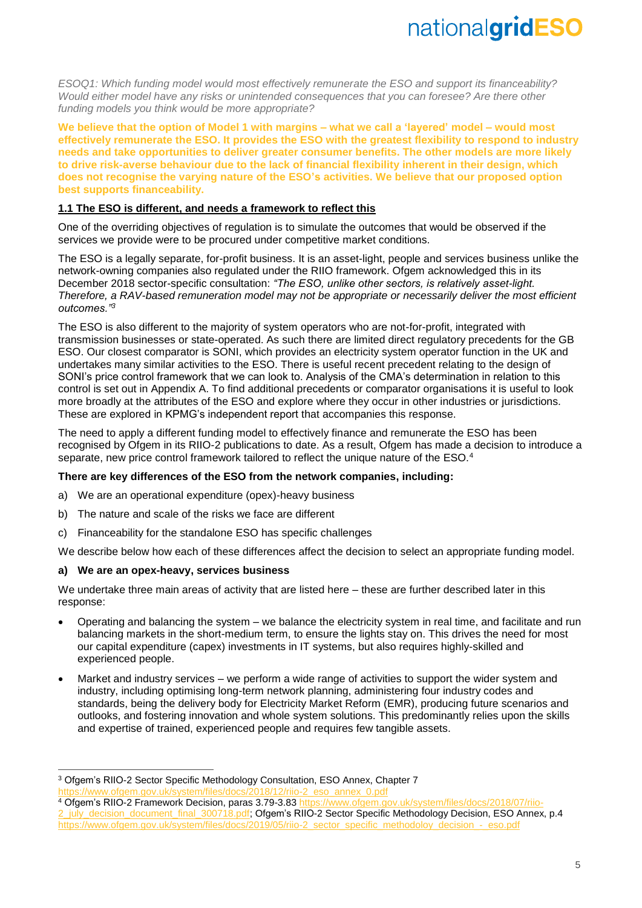*ESOQ1: Which funding model would most effectively remunerate the ESO and support its financeability? Would either model have any risks or unintended consequences that you can foresee? Are there other funding models you think would be more appropriate?*

**We believe that the option of Model 1 with margins – what we call a 'layered' model – would most effectively remunerate the ESO. It provides the ESO with the greatest flexibility to respond to industry needs and take opportunities to deliver greater consumer benefits. The other models are more likely to drive risk-averse behaviour due to the lack of financial flexibility inherent in their design, which does not recognise the varying nature of the ESO's activities. We believe that our proposed option best supports financeability.**

### **1.1 The ESO is different, and needs a framework to reflect this**

One of the overriding objectives of regulation is to simulate the outcomes that would be observed if the services we provide were to be procured under competitive market conditions.

The ESO is a legally separate, for-profit business. It is an asset-light, people and services business unlike the network-owning companies also regulated under the RIIO framework. Ofgem acknowledged this in its December 2018 sector-specific consultation: *"The ESO, unlike other sectors, is relatively asset-light. Therefore, a RAV-based remuneration model may not be appropriate or necessarily deliver the most efficient outcomes."<sup>3</sup>*

The ESO is also different to the majority of system operators who are not-for-profit, integrated with transmission businesses or state-operated. As such there are limited direct regulatory precedents for the GB ESO. Our closest comparator is SONI, which provides an electricity system operator function in the UK and undertakes many similar activities to the ESO. There is useful recent precedent relating to the design of SONI's price control framework that we can look to. Analysis of the CMA's determination in relation to this control is set out in Appendix A. To find additional precedents or comparator organisations it is useful to look more broadly at the attributes of the ESO and explore where they occur in other industries or jurisdictions. These are explored in KPMG's independent report that accompanies this response.

The need to apply a different funding model to effectively finance and remunerate the ESO has been recognised by Ofgem in its RIIO-2 publications to date. As a result, Ofgem has made a decision to introduce a separate, new price control framework tailored to reflect the unique nature of the ESO.<sup>4</sup>

### **There are key differences of the ESO from the network companies, including:**

- a) We are an operational expenditure (opex)-heavy business
- b) The nature and scale of the risks we face are different
- c) Financeability for the standalone ESO has specific challenges

We describe below how each of these differences affect the decision to select an appropriate funding model.

### **a) We are an opex-heavy, services business**

-

We undertake three main areas of activity that are listed here – these are further described later in this response:

- Operating and balancing the system we balance the electricity system in real time, and facilitate and run balancing markets in the short-medium term, to ensure the lights stay on. This drives the need for most our capital expenditure (capex) investments in IT systems, but also requires highly-skilled and experienced people.
- Market and industry services we perform a wide range of activities to support the wider system and industry, including optimising long-term network planning, administering four industry codes and standards, being the delivery body for Electricity Market Reform (EMR), producing future scenarios and outlooks, and fostering innovation and whole system solutions. This predominantly relies upon the skills and expertise of trained, experienced people and requires few tangible assets.

<sup>3</sup> Ofgem's RIIO-2 Sector Specific Methodology Consultation, ESO Annex, Chapter 7 gov.uk/system/files/docs/2018/12/riio-2\_eso\_annex\_0.pdf

<sup>4</sup> Ofgem's RIIO-2 Framework Decision, paras 3.79-3.8[3 https://www.ofgem.gov.uk/system/files/docs/2018/07/riio](https://www.ofgem.gov.uk/system/files/docs/2018/07/riio-2_july_decision_document_final_300718.pdf)july\_decision\_document\_final\_300718.pdf; Ofgem's RIIO-2 Sector Specific Methodology Decision, ESO Annex, p.4 [https://www.ofgem.gov.uk/system/files/docs/2019/05/riio-2\\_sector\\_specific\\_methodoloy\\_decision\\_-\\_eso.pdf](https://www.ofgem.gov.uk/system/files/docs/2019/05/riio-2_sector_specific_methodoloy_decision_-_eso.pdf)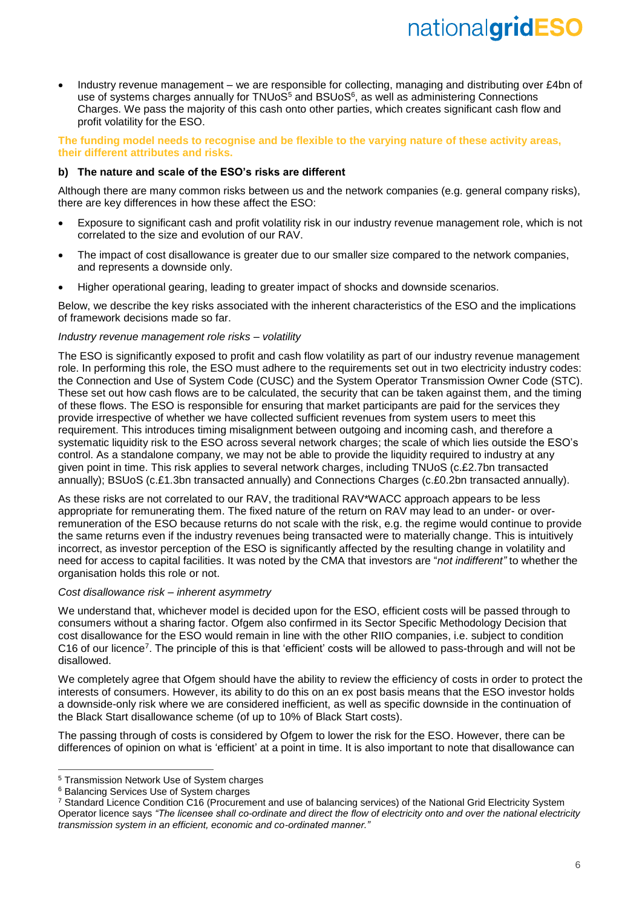• Industry revenue management – we are responsible for collecting, managing and distributing over £4bn of use of systems charges annually for TNUoS<sup>5</sup> and BSUoS<sup>6</sup>, as well as administering Connections Charges. We pass the majority of this cash onto other parties, which creates significant cash flow and profit volatility for the ESO.

**The funding model needs to recognise and be flexible to the varying nature of these activity areas, their different attributes and risks.**

### **b) The nature and scale of the ESO's risks are different**

Although there are many common risks between us and the network companies (e.g. general company risks), there are key differences in how these affect the ESO:

- Exposure to significant cash and profit volatility risk in our industry revenue management role, which is not correlated to the size and evolution of our RAV.
- The impact of cost disallowance is greater due to our smaller size compared to the network companies, and represents a downside only.
- Higher operational gearing, leading to greater impact of shocks and downside scenarios.

Below, we describe the key risks associated with the inherent characteristics of the ESO and the implications of framework decisions made so far.

### *Industry revenue management role risks – volatility*

The ESO is significantly exposed to profit and cash flow volatility as part of our industry revenue management role. In performing this role, the ESO must adhere to the requirements set out in two electricity industry codes: the Connection and Use of System Code (CUSC) and the System Operator Transmission Owner Code (STC). These set out how cash flows are to be calculated, the security that can be taken against them, and the timing of these flows. The ESO is responsible for ensuring that market participants are paid for the services they provide irrespective of whether we have collected sufficient revenues from system users to meet this requirement. This introduces timing misalignment between outgoing and incoming cash, and therefore a systematic liquidity risk to the ESO across several network charges; the scale of which lies outside the ESO's control. As a standalone company, we may not be able to provide the liquidity required to industry at any given point in time. This risk applies to several network charges, including TNUoS (c.£2.7bn transacted annually); BSUoS (c.£1.3bn transacted annually) and Connections Charges (c.£0.2bn transacted annually).

As these risks are not correlated to our RAV, the traditional RAV\*WACC approach appears to be less appropriate for remunerating them. The fixed nature of the return on RAV may lead to an under- or overremuneration of the ESO because returns do not scale with the risk, e.g. the regime would continue to provide the same returns even if the industry revenues being transacted were to materially change. This is intuitively incorrect, as investor perception of the ESO is significantly affected by the resulting change in volatility and need for access to capital facilities. It was noted by the CMA that investors are "*not indifferent"* to whether the organisation holds this role or not.

### *Cost disallowance risk – inherent asymmetry*

We understand that, whichever model is decided upon for the ESO, efficient costs will be passed through to consumers without a sharing factor. Ofgem also confirmed in its Sector Specific Methodology Decision that cost disallowance for the ESO would remain in line with the other RIIO companies, i.e. subject to condition C16 of our licence<sup>7</sup>. The principle of this is that 'efficient' costs will be allowed to pass-through and will not be disallowed.

We completely agree that Ofgem should have the ability to review the efficiency of costs in order to protect the interests of consumers. However, its ability to do this on an ex post basis means that the ESO investor holds a downside-only risk where we are considered inefficient, as well as specific downside in the continuation of the Black Start disallowance scheme (of up to 10% of Black Start costs).

The passing through of costs is considered by Ofgem to lower the risk for the ESO. However, there can be differences of opinion on what is 'efficient' at a point in time. It is also important to note that disallowance can

<sup>-</sup><sup>5</sup> Transmission Network Use of System charges

<sup>6</sup> Balancing Services Use of System charges

<sup>7</sup> Standard Licence Condition C16 (Procurement and use of balancing services) of the National Grid Electricity System Operator licence says *"The licensee shall co-ordinate and direct the flow of electricity onto and over the national electricity transmission system in an efficient, economic and co-ordinated manner."*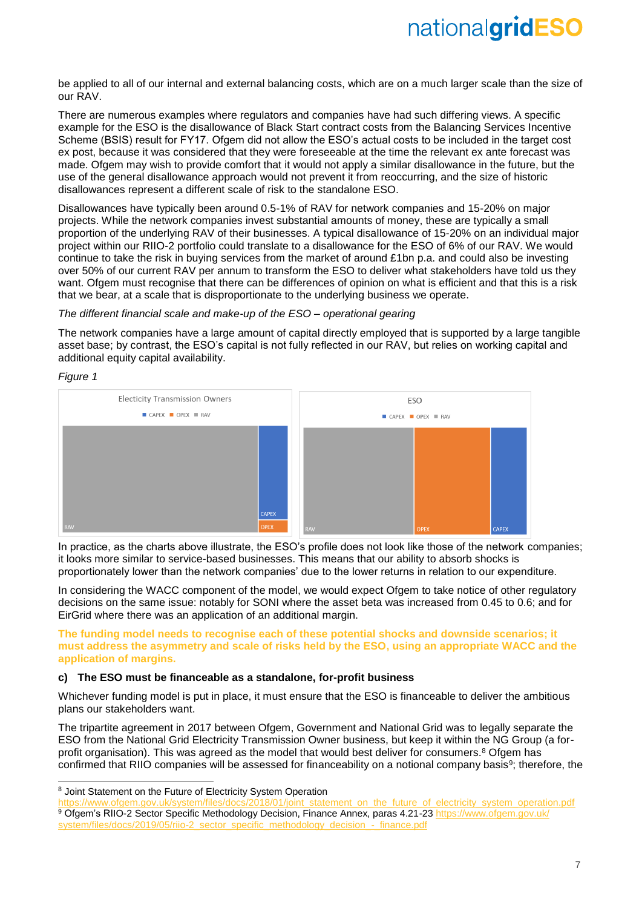be applied to all of our internal and external balancing costs, which are on a much larger scale than the size of our RAV.

There are numerous examples where regulators and companies have had such differing views. A specific example for the ESO is the disallowance of Black Start contract costs from the Balancing Services Incentive Scheme (BSIS) result for FY17. Ofgem did not allow the ESO's actual costs to be included in the target cost ex post, because it was considered that they were foreseeable at the time the relevant ex ante forecast was made. Ofgem may wish to provide comfort that it would not apply a similar disallowance in the future, but the use of the general disallowance approach would not prevent it from reoccurring, and the size of historic disallowances represent a different scale of risk to the standalone ESO.

Disallowances have typically been around 0.5-1% of RAV for network companies and 15-20% on major projects. While the network companies invest substantial amounts of money, these are typically a small proportion of the underlying RAV of their businesses. A typical disallowance of 15-20% on an individual major project within our RIIO-2 portfolio could translate to a disallowance for the ESO of 6% of our RAV. We would continue to take the risk in buying services from the market of around £1bn p.a. and could also be investing over 50% of our current RAV per annum to transform the ESO to deliver what stakeholders have told us they want. Ofgem must recognise that there can be differences of opinion on what is efficient and that this is a risk that we bear, at a scale that is disproportionate to the underlying business we operate.

### *The different financial scale and make-up of the ESO – operational gearing*

The network companies have a large amount of capital directly employed that is supported by a large tangible asset base; by contrast, the ESO's capital is not fully reflected in our RAV, but relies on working capital and additional equity capital availability.



 $\overline{a}$ 



In practice, as the charts above illustrate, the ESO's profile does not look like those of the network companies; it looks more similar to service-based businesses. This means that our ability to absorb shocks is proportionately lower than the network companies' due to the lower returns in relation to our expenditure.

In considering the WACC component of the model, we would expect Ofgem to take notice of other regulatory decisions on the same issue: notably for SONI where the asset beta was increased from 0.45 to 0.6; and for EirGrid where there was an application of an additional margin.

**The funding model needs to recognise each of these potential shocks and downside scenarios; it must address the asymmetry and scale of risks held by the ESO, using an appropriate WACC and the application of margins.**

### **c) The ESO must be financeable as a standalone, for-profit business**

Whichever funding model is put in place, it must ensure that the ESO is financeable to deliver the ambitious plans our stakeholders want.

The tripartite agreement in 2017 between Ofgem, Government and National Grid was to legally separate the ESO from the National Grid Electricity Transmission Owner business, but keep it within the NG Group (a forprofit organisation). This was agreed as the model that would best deliver for consumers.<sup>8</sup> Ofgem has confirmed that RIIO companies will be assessed for financeability on a notional company basis<sup>9</sup>; therefore, the

<sup>8</sup> Joint Statement on the Future of Electricity System Operation

[https://www.ofgem.gov.uk/system/files/docs/2018/01/joint\\_statement\\_on\\_the\\_future\\_of\\_electricity\\_system\\_operation.pdf](https://www.ofgem.gov.uk/system/files/docs/2018/01/joint_statement_on_the_future_of_electricity_system_operation.pdf) 9 Ofgem's RIIO-2 Sector Specific Methodology Decision, Finance Annex, paras 4.21-23 [https://www.ofgem.gov.uk/](https://www.ofgem.gov.uk/system/files/docs/2019/05/riio-2_sector_specific_methodology_decision_-_finance.pdf)

[system/files/docs/2019/05/riio-2\\_sector\\_specific\\_methodology\\_decision\\_-\\_finance.pdf](https://www.ofgem.gov.uk/system/files/docs/2019/05/riio-2_sector_specific_methodology_decision_-_finance.pdf)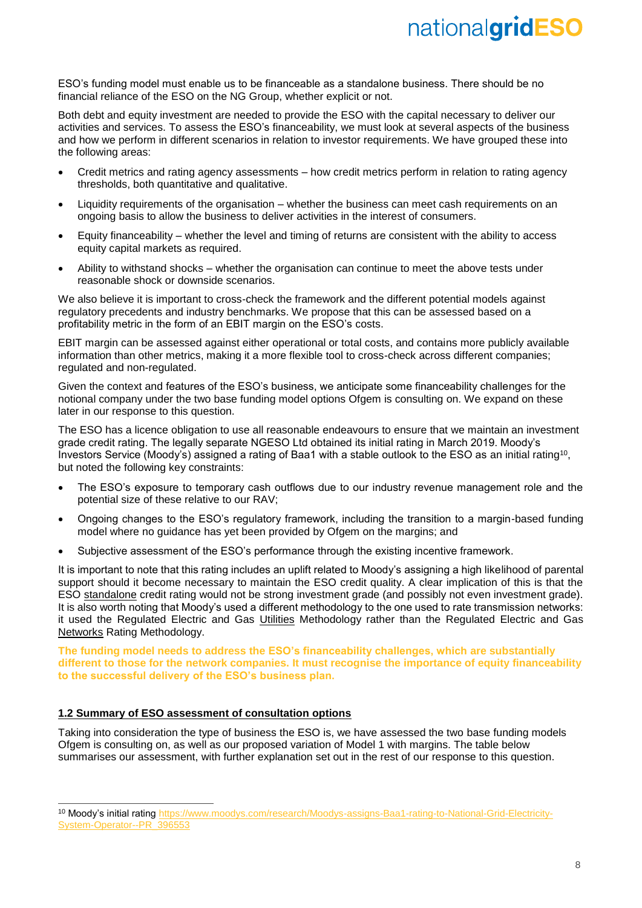ESO's funding model must enable us to be financeable as a standalone business. There should be no financial reliance of the ESO on the NG Group, whether explicit or not.

Both debt and equity investment are needed to provide the ESO with the capital necessary to deliver our activities and services. To assess the ESO's financeability, we must look at several aspects of the business and how we perform in different scenarios in relation to investor requirements. We have grouped these into the following areas:

- Credit metrics and rating agency assessments how credit metrics perform in relation to rating agency thresholds, both quantitative and qualitative.
- Liquidity requirements of the organisation whether the business can meet cash requirements on an ongoing basis to allow the business to deliver activities in the interest of consumers.
- Equity financeability whether the level and timing of returns are consistent with the ability to access equity capital markets as required.
- Ability to withstand shocks whether the organisation can continue to meet the above tests under reasonable shock or downside scenarios.

We also believe it is important to cross-check the framework and the different potential models against regulatory precedents and industry benchmarks. We propose that this can be assessed based on a profitability metric in the form of an EBIT margin on the ESO's costs.

EBIT margin can be assessed against either operational or total costs, and contains more publicly available information than other metrics, making it a more flexible tool to cross-check across different companies; regulated and non-regulated.

Given the context and features of the ESO's business, we anticipate some financeability challenges for the notional company under the two base funding model options Ofgem is consulting on. We expand on these later in our response to this question.

The ESO has a licence obligation to use all reasonable endeavours to ensure that we maintain an investment grade credit rating. The legally separate NGESO Ltd obtained its initial rating in March 2019. Moody's Investors Service (Moody's) assigned a rating of Baa1 with a stable outlook to the ESO as an initial rating<sup>10</sup>, but noted the following key constraints:

- The ESO's exposure to temporary cash outflows due to our industry revenue management role and the potential size of these relative to our RAV;
- Ongoing changes to the ESO's regulatory framework, including the transition to a margin-based funding model where no guidance has yet been provided by Ofgem on the margins; and
- Subjective assessment of the ESO's performance through the existing incentive framework.

It is important to note that this rating includes an uplift related to Moody's assigning a high likelihood of parental support should it become necessary to maintain the ESO credit quality. A clear implication of this is that the ESO standalone credit rating would not be strong investment grade (and possibly not even investment grade). It is also worth noting that Moody's used a different methodology to the one used to rate transmission networks: it used the Regulated Electric and Gas Utilities Methodology rather than the Regulated Electric and Gas Networks Rating Methodology.

**The funding model needs to address the ESO's financeability challenges, which are substantially different to those for the network companies. It must recognise the importance of equity financeability to the successful delivery of the ESO's business plan.**

### **1.2 Summary of ESO assessment of consultation options**

-

Taking into consideration the type of business the ESO is, we have assessed the two base funding models Ofgem is consulting on, as well as our proposed variation of Model 1 with margins. The table below summarises our assessment, with further explanation set out in the rest of our response to this question.

<sup>10</sup> Moody's initial rating [https://www.moodys.com/research/Moodys-assigns-Baa1-rating-to-National-Grid-Electricity-](https://www.moodys.com/research/Moodys-assigns-Baa1-rating-to-National-Grid-Electricity-System-Operator--PR_396553)[System-Operator--PR\\_396553](https://www.moodys.com/research/Moodys-assigns-Baa1-rating-to-National-Grid-Electricity-System-Operator--PR_396553)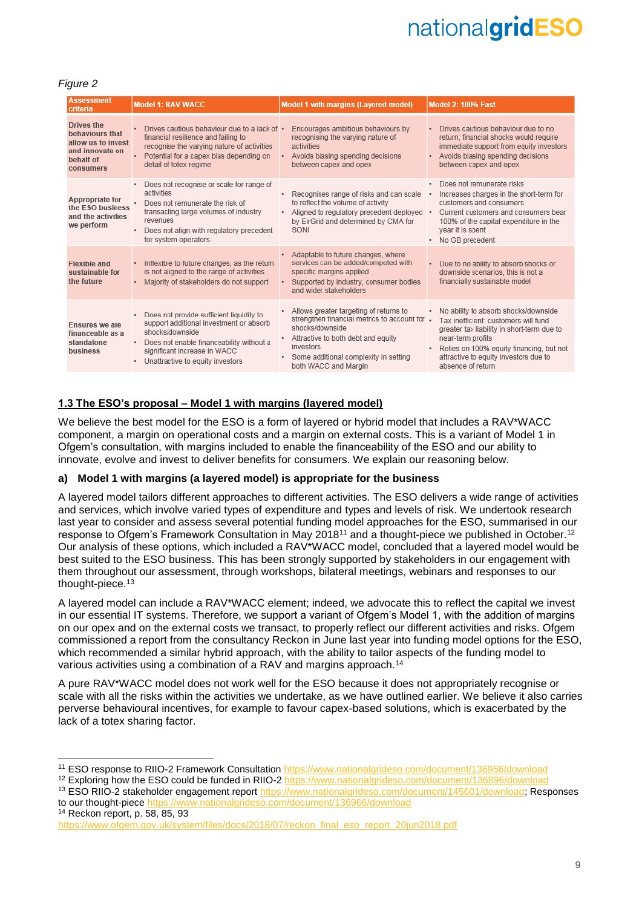## *Figure 2*

 $\overline{a}$ 

| <b>Assessment</b><br>criteria                                                                    | <b>Model 1: RAV WACC</b>                                                                                                                                                                                                                 | <b>Model 1 with margins (Layered model)</b>                                                                                                                                                                                                 | <b>Model 2: 100% Fast</b>                                                                                                                                                                                                                                 |  |  |
|--------------------------------------------------------------------------------------------------|------------------------------------------------------------------------------------------------------------------------------------------------------------------------------------------------------------------------------------------|---------------------------------------------------------------------------------------------------------------------------------------------------------------------------------------------------------------------------------------------|-----------------------------------------------------------------------------------------------------------------------------------------------------------------------------------------------------------------------------------------------------------|--|--|
| Drives the<br>behaviours that<br>allow us to invest<br>and innovate on<br>behalf of<br>consumers | Drives cautious behaviour due to a lack of .<br>financial resilience and failing to<br>recognise the varying nature of activities<br>Potential for a capex bias depending on<br>$\bullet$<br>detail of totex regime                      | Encourages ambitious behaviours by<br>recognising the varying nature of<br>activities<br>Avoids biasing spending decisions<br>between capex and opex                                                                                        | · Drives cautious behaviour due to no<br>return; financial shocks would require<br>immediate support from equity investors<br>• Avoids biasing spending decisions<br>between capex and opex                                                               |  |  |
| Appropriate for<br>the ESO business<br>and the activities<br>we perform                          | Does not recognise or scale for range of<br>activities<br>Does not remunerate the risk of<br>transacting large volumes of industry<br>revenues<br>Does not align with regulatory precedent<br>٠<br>for system operators                  | Recognises range of risks and can scale<br>to reflect the volume of activity<br>Aligned to regulatory precedent deployed .<br>$\bullet$<br>by EirGrid and determined by CMA for<br>SONI                                                     | · Does not remunerate risks<br>Increases charges in the short-term for<br>customers and consumers<br>Current customers and consumers bear<br>100% of the capital expenditure in the<br>year it is spent<br>No GB precedent                                |  |  |
| <b>Flexible and</b><br>sustainable for<br>the future                                             | Inflexible to future changes, as the return<br>is not aligned to the range of activities<br>Majority of stakeholders do not support                                                                                                      | Adaptable to future changes, where<br>services can be added/competed with<br>specific margins applied<br>Supported by industry, consumer bodies<br>and wider stakeholders                                                                   | • Due to no ability to absorb shocks or<br>downside scenarios, this is not a<br>financially sustainable model                                                                                                                                             |  |  |
| Ensures we are<br>financeable as a<br>standalone<br>business                                     | Does not provide sufficient liquidity to<br>support additional investment or absorb<br>shocks/downside<br>Does not enable financeability without a<br>$\bullet$<br>significant increase in WACC<br>Unattractive to equity investors<br>٠ | Allows greater targeting of returns to<br>strengthen financial metrics to account for .<br>shocks/downside<br>Attractive to both debt and equity<br>$\bullet$<br>investors<br>Some additional complexity in setting<br>both WACC and Margin | No ability to absorb shocks/downside<br>Tax inefficient: customers will fund<br>greater tax liability in short-term due to<br>near-term profits<br>Relies on 100% equity financing, but not<br>attractive to equity investors due to<br>absence of return |  |  |

### **1.3 The ESO's proposal – Model 1 with margins (layered model)**

We believe the best model for the ESO is a form of layered or hybrid model that includes a RAV\*WACC component, a margin on operational costs and a margin on external costs. This is a variant of Model 1 in Ofgem's consultation, with margins included to enable the financeability of the ESO and our ability to innovate, evolve and invest to deliver benefits for consumers. We explain our reasoning below.

### **a) Model 1 with margins (a layered model) is appropriate for the business**

A layered model tailors different approaches to different activities. The ESO delivers a wide range of activities and services, which involve varied types of expenditure and types and levels of risk. We undertook research last year to consider and assess several potential funding model approaches for the ESO, summarised in our response to Ofgem's Framework Consultation in May 2018<sup>11</sup> and a thought-piece we published in October.<sup>12</sup> Our analysis of these options, which included a RAV\*WACC model, concluded that a layered model would be best suited to the ESO business. This has been strongly supported by stakeholders in our engagement with them throughout our assessment, through workshops, bilateral meetings, webinars and responses to our thought-piece.<sup>13</sup>

A layered model can include a RAV\*WACC element; indeed, we advocate this to reflect the capital we invest in our essential IT systems. Therefore, we support a variant of Ofgem's Model 1, with the addition of margins on our opex and on the external costs we transact, to properly reflect our different activities and risks. Ofgem commissioned a report from the consultancy Reckon in June last year into funding model options for the ESO, which recommended a similar hybrid approach, with the ability to tailor aspects of the funding model to various activities using a combination of a RAV and margins approach.<sup>14</sup>

A pure RAV\*WACC model does not work well for the ESO because it does not appropriately recognise or scale with all the risks within the activities we undertake, as we have outlined earlier. We believe it also carries perverse behavioural incentives, for example to favour capex-based solutions, which is exacerbated by the lack of a totex sharing factor.

<sup>11</sup> ESO response to RIIO-2 Framework Consultation<https://www.nationalgrideso.com/document/136956/download>

<sup>&</sup>lt;sup>12</sup> Exploring how the ESO could be funded in RIIO-2<https://www.nationalgrideso.com/document/136896/download>

<sup>13</sup> ESO RIIO-2 stakeholder engagement report [https://www.nationalgrideso.com/document/145601/download;](https://www.nationalgrideso.com/document/145601/download) Responses to our thought-piec[e https://www.nationalgrideso.com/document/136966/download](https://www.nationalgrideso.com/document/136966/download) <sup>14</sup> Reckon report, p. 58, 85, 93

[https://www.ofgem.gov.uk/system/files/docs/2018/07/reckon\\_final\\_eso\\_report\\_20jun2018.pdf](https://www.ofgem.gov.uk/system/files/docs/2018/07/reckon_final_eso_report_20jun2018.pdf)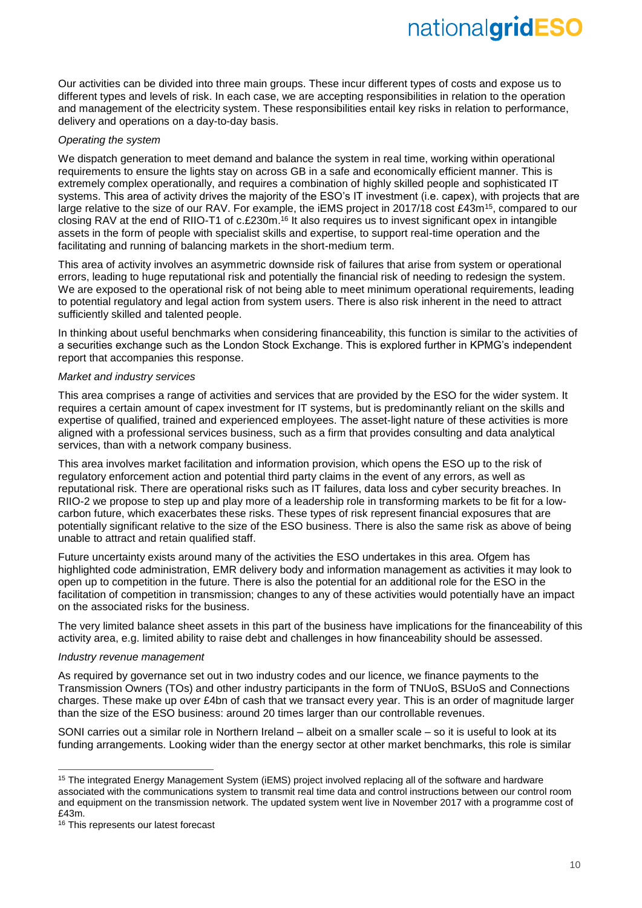Our activities can be divided into three main groups. These incur different types of costs and expose us to different types and levels of risk. In each case, we are accepting responsibilities in relation to the operation and management of the electricity system. These responsibilities entail key risks in relation to performance, delivery and operations on a day-to-day basis.

### *Operating the system*

We dispatch generation to meet demand and balance the system in real time, working within operational requirements to ensure the lights stay on across GB in a safe and economically efficient manner. This is extremely complex operationally, and requires a combination of highly skilled people and sophisticated IT systems. This area of activity drives the majority of the ESO's IT investment (i.e. capex), with projects that are large relative to the size of our RAV. For example, the iEMS project in 2017/18 cost £43m<sup>15</sup>, compared to our closing RAV at the end of RIIO-T1 of c.£230m.<sup>16</sup> It also requires us to invest significant opex in intangible assets in the form of people with specialist skills and expertise, to support real-time operation and the facilitating and running of balancing markets in the short-medium term.

This area of activity involves an asymmetric downside risk of failures that arise from system or operational errors, leading to huge reputational risk and potentially the financial risk of needing to redesign the system. We are exposed to the operational risk of not being able to meet minimum operational requirements, leading to potential regulatory and legal action from system users. There is also risk inherent in the need to attract sufficiently skilled and talented people.

In thinking about useful benchmarks when considering financeability, this function is similar to the activities of a securities exchange such as the London Stock Exchange. This is explored further in KPMG's independent report that accompanies this response.

### *Market and industry services*

This area comprises a range of activities and services that are provided by the ESO for the wider system. It requires a certain amount of capex investment for IT systems, but is predominantly reliant on the skills and expertise of qualified, trained and experienced employees. The asset-light nature of these activities is more aligned with a professional services business, such as a firm that provides consulting and data analytical services, than with a network company business.

This area involves market facilitation and information provision, which opens the ESO up to the risk of regulatory enforcement action and potential third party claims in the event of any errors, as well as reputational risk. There are operational risks such as IT failures, data loss and cyber security breaches. In RIIO-2 we propose to step up and play more of a leadership role in transforming markets to be fit for a lowcarbon future, which exacerbates these risks. These types of risk represent financial exposures that are potentially significant relative to the size of the ESO business. There is also the same risk as above of being unable to attract and retain qualified staff.

Future uncertainty exists around many of the activities the ESO undertakes in this area. Ofgem has highlighted code administration, EMR delivery body and information management as activities it may look to open up to competition in the future. There is also the potential for an additional role for the ESO in the facilitation of competition in transmission; changes to any of these activities would potentially have an impact on the associated risks for the business.

The very limited balance sheet assets in this part of the business have implications for the financeability of this activity area, e.g. limited ability to raise debt and challenges in how financeability should be assessed.

### *Industry revenue management*

As required by governance set out in two industry codes and our licence, we finance payments to the Transmission Owners (TOs) and other industry participants in the form of TNUoS, BSUoS and Connections charges. These make up over £4bn of cash that we transact every year. This is an order of magnitude larger than the size of the ESO business: around 20 times larger than our controllable revenues.

SONI carries out a similar role in Northern Ireland – albeit on a smaller scale – so it is useful to look at its funding arrangements. Looking wider than the energy sector at other market benchmarks, this role is similar

<sup>-</sup><sup>15</sup> The integrated Energy Management System (iEMS) project involved replacing all of the software and hardware associated with the communications system to transmit real time data and control instructions between our control room and equipment on the transmission network. The updated system went live in November 2017 with a programme cost of £43m.

<sup>&</sup>lt;sup>16</sup> This represents our latest forecast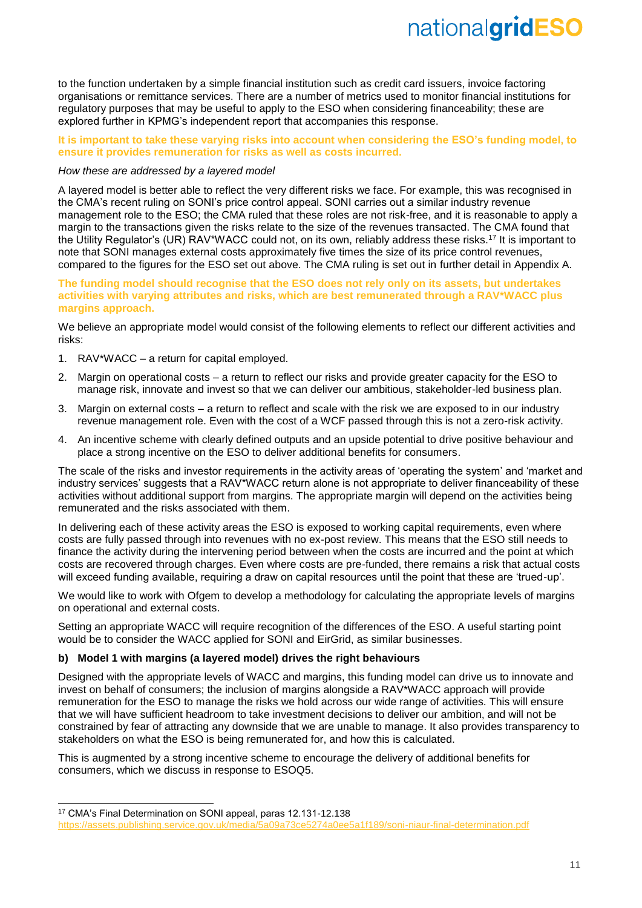to the function undertaken by a simple financial institution such as credit card issuers, invoice factoring organisations or remittance services. There are a number of metrics used to monitor financial institutions for regulatory purposes that may be useful to apply to the ESO when considering financeability; these are explored further in KPMG's independent report that accompanies this response.

### **It is important to take these varying risks into account when considering the ESO's funding model, to ensure it provides remuneration for risks as well as costs incurred.**

### *How these are addressed by a layered model*

A layered model is better able to reflect the very different risks we face. For example, this was recognised in the CMA's recent ruling on SONI's price control appeal. SONI carries out a similar industry revenue management role to the ESO; the CMA ruled that these roles are not risk-free, and it is reasonable to apply a margin to the transactions given the risks relate to the size of the revenues transacted. The CMA found that the Utility Regulator's (UR) RAV\*WACC could not, on its own, reliably address these risks.<sup>17</sup> It is important to note that SONI manages external costs approximately five times the size of its price control revenues, compared to the figures for the ESO set out above. The CMA ruling is set out in further detail in Appendix A.

### **The funding model should recognise that the ESO does not rely only on its assets, but undertakes activities with varying attributes and risks, which are best remunerated through a RAV\*WACC plus margins approach.**

We believe an appropriate model would consist of the following elements to reflect our different activities and risks:

- 1. RAV\*WACC a return for capital employed.
- 2. Margin on operational costs a return to reflect our risks and provide greater capacity for the ESO to manage risk, innovate and invest so that we can deliver our ambitious, stakeholder-led business plan.
- 3. Margin on external costs a return to reflect and scale with the risk we are exposed to in our industry revenue management role. Even with the cost of a WCF passed through this is not a zero-risk activity.
- 4. An incentive scheme with clearly defined outputs and an upside potential to drive positive behaviour and place a strong incentive on the ESO to deliver additional benefits for consumers.

The scale of the risks and investor requirements in the activity areas of 'operating the system' and 'market and industry services' suggests that a RAV\*WACC return alone is not appropriate to deliver financeability of these activities without additional support from margins. The appropriate margin will depend on the activities being remunerated and the risks associated with them.

In delivering each of these activity areas the ESO is exposed to working capital requirements, even where costs are fully passed through into revenues with no ex-post review. This means that the ESO still needs to finance the activity during the intervening period between when the costs are incurred and the point at which costs are recovered through charges. Even where costs are pre-funded, there remains a risk that actual costs will exceed funding available, requiring a draw on capital resources until the point that these are 'trued-up'.

We would like to work with Ofgem to develop a methodology for calculating the appropriate levels of margins on operational and external costs.

Setting an appropriate WACC will require recognition of the differences of the ESO. A useful starting point would be to consider the WACC applied for SONI and EirGrid, as similar businesses.

### **b) Model 1 with margins (a layered model) drives the right behaviours**

Designed with the appropriate levels of WACC and margins, this funding model can drive us to innovate and invest on behalf of consumers; the inclusion of margins alongside a RAV\*WACC approach will provide remuneration for the ESO to manage the risks we hold across our wide range of activities. This will ensure that we will have sufficient headroom to take investment decisions to deliver our ambition, and will not be constrained by fear of attracting any downside that we are unable to manage. It also provides transparency to stakeholders on what the ESO is being remunerated for, and how this is calculated.

This is augmented by a strong incentive scheme to encourage the delivery of additional benefits for consumers, which we discuss in response to ESOQ5.

-

<sup>17</sup> CMA's Final Determination on SONI appeal, paras 12.131-12.138

<https://assets.publishing.service.gov.uk/media/5a09a73ce5274a0ee5a1f189/soni-niaur-final-determination.pdf>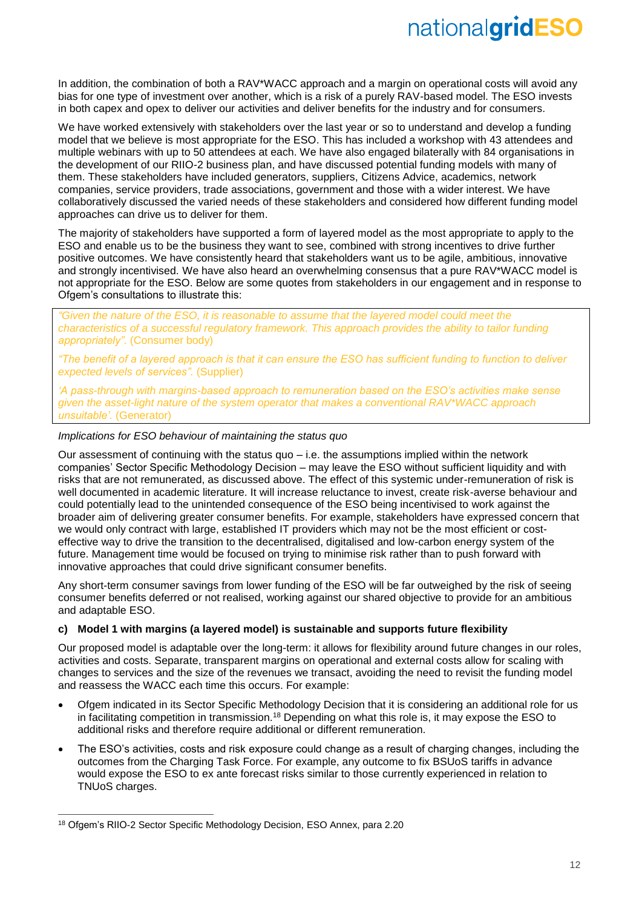In addition, the combination of both a RAV\*WACC approach and a margin on operational costs will avoid any bias for one type of investment over another, which is a risk of a purely RAV-based model. The ESO invests in both capex and opex to deliver our activities and deliver benefits for the industry and for consumers.

We have worked extensively with stakeholders over the last year or so to understand and develop a funding model that we believe is most appropriate for the ESO. This has included a workshop with 43 attendees and multiple webinars with up to 50 attendees at each. We have also engaged bilaterally with 84 organisations in the development of our RIIO-2 business plan, and have discussed potential funding models with many of them. These stakeholders have included generators, suppliers, Citizens Advice, academics, network companies, service providers, trade associations, government and those with a wider interest. We have collaboratively discussed the varied needs of these stakeholders and considered how different funding model approaches can drive us to deliver for them.

The majority of stakeholders have supported a form of layered model as the most appropriate to apply to the ESO and enable us to be the business they want to see, combined with strong incentives to drive further positive outcomes. We have consistently heard that stakeholders want us to be agile, ambitious, innovative and strongly incentivised. We have also heard an overwhelming consensus that a pure RAV\*WACC model is not appropriate for the ESO. Below are some quotes from stakeholders in our engagement and in response to Ofgem's consultations to illustrate this:

*"Given the nature of the ESO, it is reasonable to assume that the layered model could meet the characteristics of a successful regulatory framework. This approach provides the ability to tailor funding appropriately".* (Consumer body)

*"The benefit of a layered approach is that it can ensure the ESO has sufficient funding to function to deliver expected levels of services".* (Supplier)

*'A pass-through with margins-based approach to remuneration based on the ESO's activities make sense given the asset-light nature of the system operator that makes a conventional RAV\*WACC approach unsuitable'.* (Generator)

### *Implications for ESO behaviour of maintaining the status quo*

Our assessment of continuing with the status quo  $-$  i.e. the assumptions implied within the network companies' Sector Specific Methodology Decision – may leave the ESO without sufficient liquidity and with risks that are not remunerated, as discussed above. The effect of this systemic under-remuneration of risk is well documented in academic literature. It will increase reluctance to invest, create risk-averse behaviour and could potentially lead to the unintended consequence of the ESO being incentivised to work against the broader aim of delivering greater consumer benefits. For example, stakeholders have expressed concern that we would only contract with large, established IT providers which may not be the most efficient or costeffective way to drive the transition to the decentralised, digitalised and low-carbon energy system of the future. Management time would be focused on trying to minimise risk rather than to push forward with innovative approaches that could drive significant consumer benefits.

Any short-term consumer savings from lower funding of the ESO will be far outweighed by the risk of seeing consumer benefits deferred or not realised, working against our shared objective to provide for an ambitious and adaptable ESO.

### **c) Model 1 with margins (a layered model) is sustainable and supports future flexibility**

Our proposed model is adaptable over the long-term: it allows for flexibility around future changes in our roles, activities and costs. Separate, transparent margins on operational and external costs allow for scaling with changes to services and the size of the revenues we transact, avoiding the need to revisit the funding model and reassess the WACC each time this occurs. For example:

- Ofgem indicated in its Sector Specific Methodology Decision that it is considering an additional role for us in facilitating competition in transmission.<sup>18</sup> Depending on what this role is, it may expose the ESO to additional risks and therefore require additional or different remuneration.
- The ESO's activities, costs and risk exposure could change as a result of charging changes, including the outcomes from the Charging Task Force. For example, any outcome to fix BSUoS tariffs in advance would expose the ESO to ex ante forecast risks similar to those currently experienced in relation to TNUoS charges.

 $\overline{a}$ 

<sup>18</sup> Ofgem's RIIO-2 Sector Specific Methodology Decision, ESO Annex, para 2.20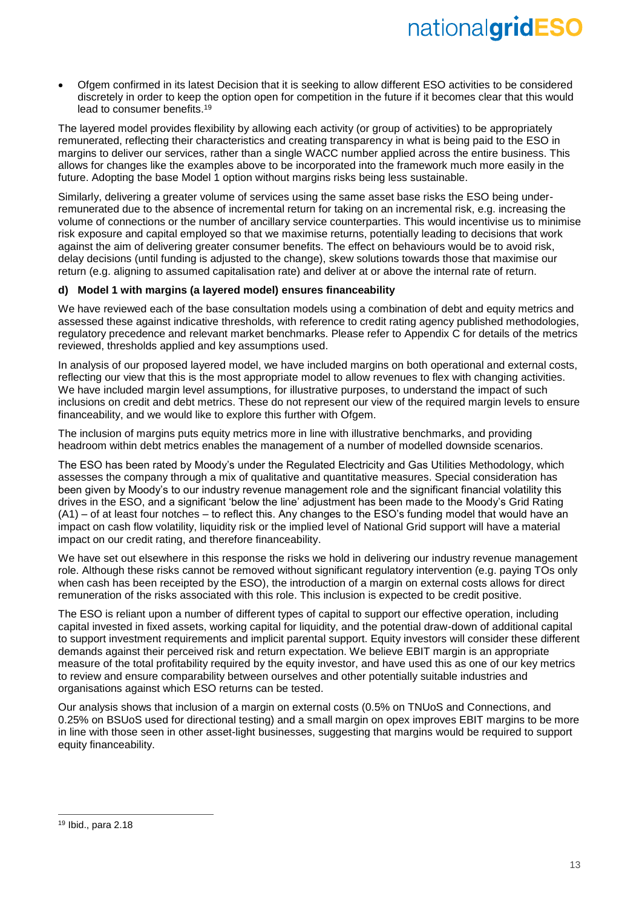• Ofgem confirmed in its latest Decision that it is seeking to allow different ESO activities to be considered discretely in order to keep the option open for competition in the future if it becomes clear that this would lead to consumer benefits.<sup>19</sup>

The layered model provides flexibility by allowing each activity (or group of activities) to be appropriately remunerated, reflecting their characteristics and creating transparency in what is being paid to the ESO in margins to deliver our services, rather than a single WACC number applied across the entire business. This allows for changes like the examples above to be incorporated into the framework much more easily in the future. Adopting the base Model 1 option without margins risks being less sustainable.

Similarly, delivering a greater volume of services using the same asset base risks the ESO being underremunerated due to the absence of incremental return for taking on an incremental risk, e.g. increasing the volume of connections or the number of ancillary service counterparties. This would incentivise us to minimise risk exposure and capital employed so that we maximise returns, potentially leading to decisions that work against the aim of delivering greater consumer benefits. The effect on behaviours would be to avoid risk, delay decisions (until funding is adjusted to the change), skew solutions towards those that maximise our return (e.g. aligning to assumed capitalisation rate) and deliver at or above the internal rate of return.

### **d) Model 1 with margins (a layered model) ensures financeability**

We have reviewed each of the base consultation models using a combination of debt and equity metrics and assessed these against indicative thresholds, with reference to credit rating agency published methodologies, regulatory precedence and relevant market benchmarks. Please refer to Appendix C for details of the metrics reviewed, thresholds applied and key assumptions used.

In analysis of our proposed layered model, we have included margins on both operational and external costs, reflecting our view that this is the most appropriate model to allow revenues to flex with changing activities. We have included margin level assumptions, for illustrative purposes, to understand the impact of such inclusions on credit and debt metrics. These do not represent our view of the required margin levels to ensure financeability, and we would like to explore this further with Ofgem.

The inclusion of margins puts equity metrics more in line with illustrative benchmarks, and providing headroom within debt metrics enables the management of a number of modelled downside scenarios.

The ESO has been rated by Moody's under the Regulated Electricity and Gas Utilities Methodology, which assesses the company through a mix of qualitative and quantitative measures. Special consideration has been given by Moody's to our industry revenue management role and the significant financial volatility this drives in the ESO, and a significant 'below the line' adjustment has been made to the Moody's Grid Rating (A1) – of at least four notches – to reflect this. Any changes to the ESO's funding model that would have an impact on cash flow volatility, liquidity risk or the implied level of National Grid support will have a material impact on our credit rating, and therefore financeability.

We have set out elsewhere in this response the risks we hold in delivering our industry revenue management role. Although these risks cannot be removed without significant regulatory intervention (e.g. paying TOs only when cash has been receipted by the ESO), the introduction of a margin on external costs allows for direct remuneration of the risks associated with this role. This inclusion is expected to be credit positive.

The ESO is reliant upon a number of different types of capital to support our effective operation, including capital invested in fixed assets, working capital for liquidity, and the potential draw-down of additional capital to support investment requirements and implicit parental support. Equity investors will consider these different demands against their perceived risk and return expectation. We believe EBIT margin is an appropriate measure of the total profitability required by the equity investor, and have used this as one of our key metrics to review and ensure comparability between ourselves and other potentially suitable industries and organisations against which ESO returns can be tested.

Our analysis shows that inclusion of a margin on external costs (0.5% on TNUoS and Connections, and 0.25% on BSUoS used for directional testing) and a small margin on opex improves EBIT margins to be more in line with those seen in other asset-light businesses, suggesting that margins would be required to support equity financeability.

 $\overline{a}$ 

<sup>19</sup> Ibid., para 2.18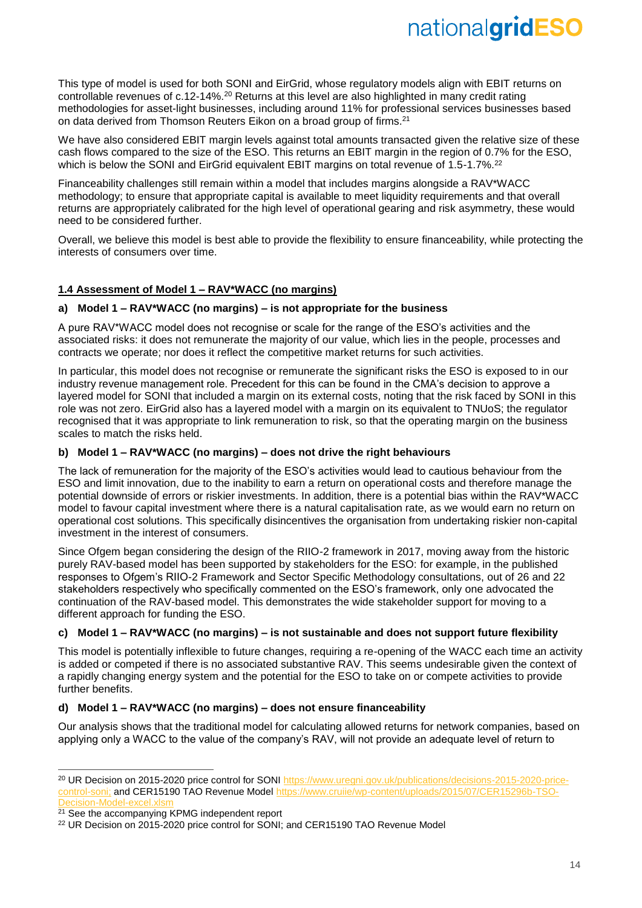This type of model is used for both SONI and EirGrid, whose regulatory models align with EBIT returns on controllable revenues of c.12-14%.<sup>20</sup> Returns at this level are also highlighted in many credit rating methodologies for asset-light businesses, including around 11% for professional services businesses based on data derived from Thomson Reuters Eikon on a broad group of firms.<sup>21</sup>

We have also considered EBIT margin levels against total amounts transacted given the relative size of these cash flows compared to the size of the ESO. This returns an EBIT margin in the region of 0.7% for the ESO, which is below the SONI and EirGrid equivalent EBIT margins on total revenue of 1.5-1.7%.<sup>22</sup>

Financeability challenges still remain within a model that includes margins alongside a RAV\*WACC methodology; to ensure that appropriate capital is available to meet liquidity requirements and that overall returns are appropriately calibrated for the high level of operational gearing and risk asymmetry, these would need to be considered further.

Overall, we believe this model is best able to provide the flexibility to ensure financeability, while protecting the interests of consumers over time.

### **1.4 Assessment of Model 1 – RAV\*WACC (no margins)**

### **a) Model 1 – RAV\*WACC (no margins) – is not appropriate for the business**

A pure RAV\*WACC model does not recognise or scale for the range of the ESO's activities and the associated risks: it does not remunerate the majority of our value, which lies in the people, processes and contracts we operate; nor does it reflect the competitive market returns for such activities.

In particular, this model does not recognise or remunerate the significant risks the ESO is exposed to in our industry revenue management role. Precedent for this can be found in the CMA's decision to approve a layered model for SONI that included a margin on its external costs, noting that the risk faced by SONI in this role was not zero. EirGrid also has a layered model with a margin on its equivalent to TNUoS; the regulator recognised that it was appropriate to link remuneration to risk, so that the operating margin on the business scales to match the risks held.

### **b) Model 1 – RAV\*WACC (no margins) – does not drive the right behaviours**

The lack of remuneration for the majority of the ESO's activities would lead to cautious behaviour from the ESO and limit innovation, due to the inability to earn a return on operational costs and therefore manage the potential downside of errors or riskier investments. In addition, there is a potential bias within the RAV\*WACC model to favour capital investment where there is a natural capitalisation rate, as we would earn no return on operational cost solutions. This specifically disincentives the organisation from undertaking riskier non-capital investment in the interest of consumers.

Since Ofgem began considering the design of the RIIO-2 framework in 2017, moving away from the historic purely RAV-based model has been supported by stakeholders for the ESO: for example, in the published responses to Ofgem's RIIO-2 Framework and Sector Specific Methodology consultations, out of 26 and 22 stakeholders respectively who specifically commented on the ESO's framework, only one advocated the continuation of the RAV-based model. This demonstrates the wide stakeholder support for moving to a different approach for funding the ESO.

### **c) Model 1 – RAV\*WACC (no margins) – is not sustainable and does not support future flexibility**

This model is potentially inflexible to future changes, requiring a re-opening of the WACC each time an activity is added or competed if there is no associated substantive RAV. This seems undesirable given the context of a rapidly changing energy system and the potential for the ESO to take on or compete activities to provide further benefits.

### **d) Model 1 – RAV\*WACC (no margins) – does not ensure financeability**

Our analysis shows that the traditional model for calculating allowed returns for network companies, based on applying only a WACC to the value of the company's RAV, will not provide an adequate level of return to

<sup>20</sup> UR Decision on 2015-2020 price control for SONI [https://www.uregni.gov.uk/publications/decisions-2015-2020-price](https://www.uregni.gov.uk/publications/decisions-2015-2020-price-control-soni)[control-soni;](https://www.uregni.gov.uk/publications/decisions-2015-2020-price-control-soni) and CER15190 TAO Revenue Model [https://www.cruiie/wp-content/uploads/2015/07/CER15296b-TSO-](https://www.cruiie/wp-content/uploads/2015/07/CER15296b-TSO-Decision-Model-excel.xlsm)[Decision-Model-excel.xlsm](https://www.cruiie/wp-content/uploads/2015/07/CER15296b-TSO-Decision-Model-excel.xlsm)

<sup>&</sup>lt;sup>21</sup> See the accompanying KPMG independent report

<sup>&</sup>lt;sup>22</sup> UR Decision on 2015-2020 price control for SONI; and CER15190 TAO Revenue Model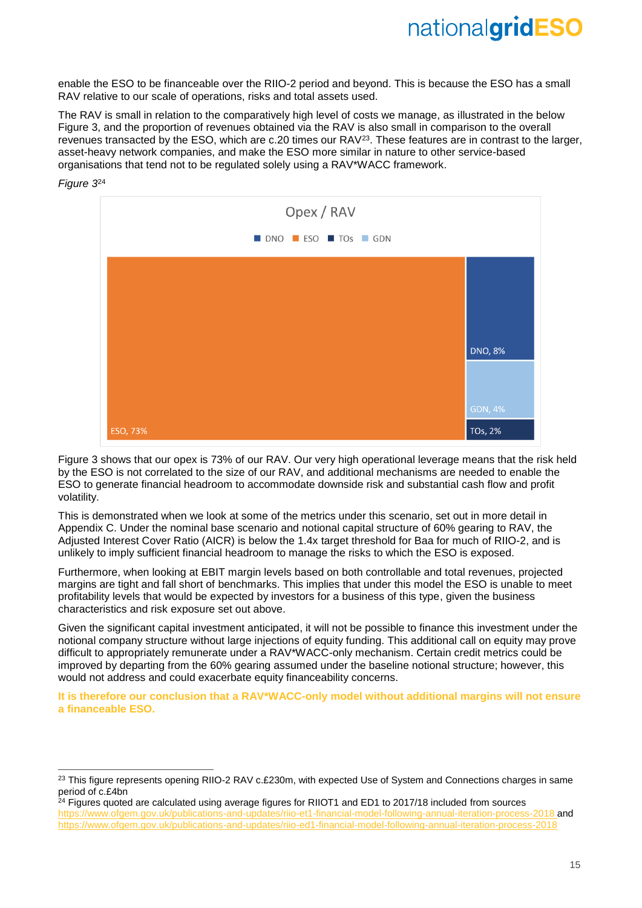enable the ESO to be financeable over the RIIO-2 period and beyond. This is because the ESO has a small RAV relative to our scale of operations, risks and total assets used.

The RAV is small in relation to the comparatively high level of costs we manage, as illustrated in the below Figure 3, and the proportion of revenues obtained via the RAV is also small in comparison to the overall revenues transacted by the ESO, which are c.20 times our RAV<sup>23</sup>. These features are in contrast to the larger, asset-heavy network companies, and make the ESO more similar in nature to other service-based organisations that tend not to be regulated solely using a RAV\*WACC framework.



Figure 3 shows that our opex is 73% of our RAV. Our very high operational leverage means that the risk held by the ESO is not correlated to the size of our RAV, and additional mechanisms are needed to enable the ESO to generate financial headroom to accommodate downside risk and substantial cash flow and profit volatility.

This is demonstrated when we look at some of the metrics under this scenario, set out in more detail in Appendix C. Under the nominal base scenario and notional capital structure of 60% gearing to RAV, the Adjusted Interest Cover Ratio (AICR) is below the 1.4x target threshold for Baa for much of RIIO-2, and is unlikely to imply sufficient financial headroom to manage the risks to which the ESO is exposed.

Furthermore, when looking at EBIT margin levels based on both controllable and total revenues, projected margins are tight and fall short of benchmarks. This implies that under this model the ESO is unable to meet profitability levels that would be expected by investors for a business of this type, given the business characteristics and risk exposure set out above.

Given the significant capital investment anticipated, it will not be possible to finance this investment under the notional company structure without large injections of equity funding. This additional call on equity may prove difficult to appropriately remunerate under a RAV\*WACC-only mechanism. Certain credit metrics could be improved by departing from the 60% gearing assumed under the baseline notional structure; however, this would not address and could exacerbate equity financeability concerns.

**It is therefore our conclusion that a RAV\*WACC-only model without additional margins will not ensure a financeable ESO.**

### *Figure 3* 24

-

 $^{23}$  This figure represents opening RIIO-2 RAV c.£230m, with expected Use of System and Connections charges in same period of c.£4bn

<sup>&</sup>lt;sup>24</sup> Figures quoted are calculated using average figures for RIIOT1 and ED1 to 2017/18 included from sources s/riio-et1-financial-model-following-annual-iteration-process-2018 and <https://www.ofgem.gov.uk/publications-and-updates/riio-ed1-financial-model-following-annual-iteration-process-2018>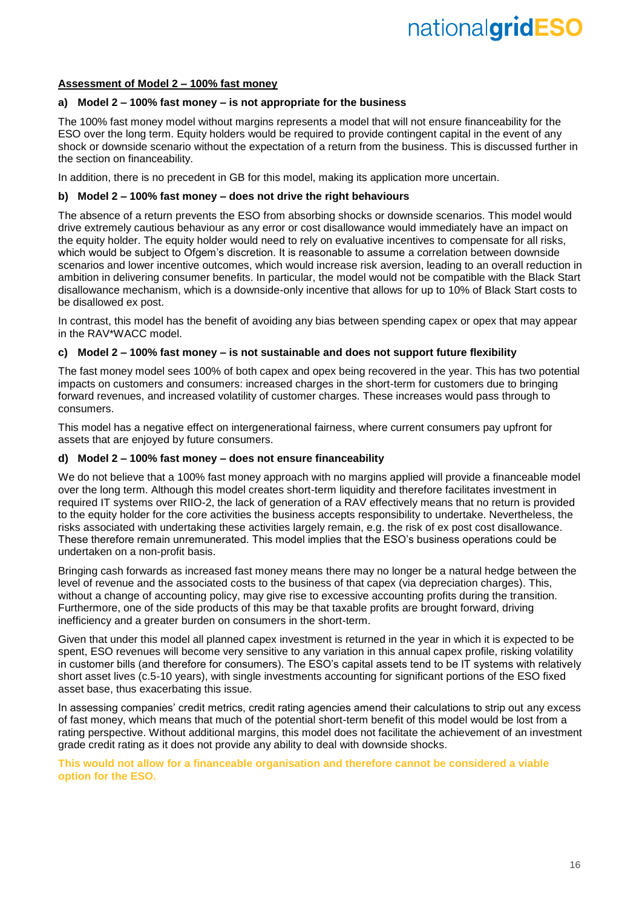### **Assessment of Model 2 – 100% fast money**

### **a) Model 2 – 100% fast money – is not appropriate for the business**

The 100% fast money model without margins represents a model that will not ensure financeability for the ESO over the long term. Equity holders would be required to provide contingent capital in the event of any shock or downside scenario without the expectation of a return from the business. This is discussed further in the section on financeability.

In addition, there is no precedent in GB for this model, making its application more uncertain.

### **b) Model 2 – 100% fast money – does not drive the right behaviours**

The absence of a return prevents the ESO from absorbing shocks or downside scenarios. This model would drive extremely cautious behaviour as any error or cost disallowance would immediately have an impact on the equity holder. The equity holder would need to rely on evaluative incentives to compensate for all risks, which would be subject to Ofgem's discretion. It is reasonable to assume a correlation between downside scenarios and lower incentive outcomes, which would increase risk aversion, leading to an overall reduction in ambition in delivering consumer benefits. In particular, the model would not be compatible with the Black Start disallowance mechanism, which is a downside-only incentive that allows for up to 10% of Black Start costs to be disallowed ex post.

In contrast, this model has the benefit of avoiding any bias between spending capex or opex that may appear in the RAV\*WACC model.

### **c) Model 2 – 100% fast money – is not sustainable and does not support future flexibility**

The fast money model sees 100% of both capex and opex being recovered in the year. This has two potential impacts on customers and consumers: increased charges in the short-term for customers due to bringing forward revenues, and increased volatility of customer charges. These increases would pass through to consumers.

This model has a negative effect on intergenerational fairness, where current consumers pay upfront for assets that are enjoyed by future consumers.

### **d) Model 2 – 100% fast money – does not ensure financeability**

We do not believe that a 100% fast money approach with no margins applied will provide a financeable model over the long term. Although this model creates short-term liquidity and therefore facilitates investment in required IT systems over RIIO-2, the lack of generation of a RAV effectively means that no return is provided to the equity holder for the core activities the business accepts responsibility to undertake. Nevertheless, the risks associated with undertaking these activities largely remain, e.g. the risk of ex post cost disallowance. These therefore remain unremunerated. This model implies that the ESO's business operations could be undertaken on a non-profit basis.

Bringing cash forwards as increased fast money means there may no longer be a natural hedge between the level of revenue and the associated costs to the business of that capex (via depreciation charges). This, without a change of accounting policy, may give rise to excessive accounting profits during the transition. Furthermore, one of the side products of this may be that taxable profits are brought forward, driving inefficiency and a greater burden on consumers in the short-term.

Given that under this model all planned capex investment is returned in the year in which it is expected to be spent, ESO revenues will become very sensitive to any variation in this annual capex profile, risking volatility in customer bills (and therefore for consumers). The ESO's capital assets tend to be IT systems with relatively short asset lives (c.5-10 years), with single investments accounting for significant portions of the ESO fixed asset base, thus exacerbating this issue.

In assessing companies' credit metrics, credit rating agencies amend their calculations to strip out any excess of fast money, which means that much of the potential short-term benefit of this model would be lost from a rating perspective. Without additional margins, this model does not facilitate the achievement of an investment grade credit rating as it does not provide any ability to deal with downside shocks.

**This would not allow for a financeable organisation and therefore cannot be considered a viable option for the ESO.**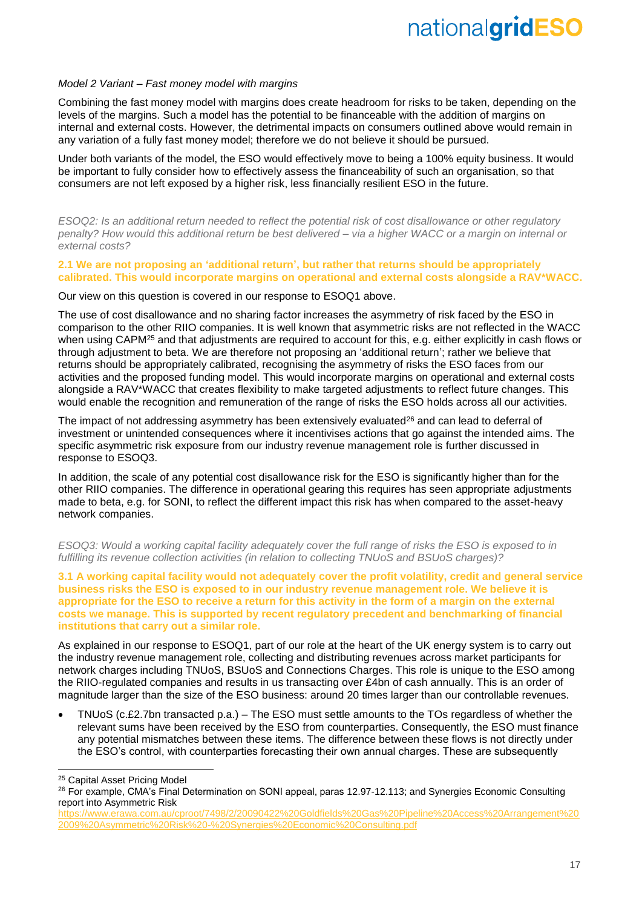### *Model 2 Variant – Fast money model with margins*

Combining the fast money model with margins does create headroom for risks to be taken, depending on the levels of the margins. Such a model has the potential to be financeable with the addition of margins on internal and external costs. However, the detrimental impacts on consumers outlined above would remain in any variation of a fully fast money model; therefore we do not believe it should be pursued.

Under both variants of the model, the ESO would effectively move to being a 100% equity business. It would be important to fully consider how to effectively assess the financeability of such an organisation, so that consumers are not left exposed by a higher risk, less financially resilient ESO in the future.

*ESOQ2: Is an additional return needed to reflect the potential risk of cost disallowance or other regulatory penalty? How would this additional return be best delivered – via a higher WACC or a margin on internal or external costs?*

### **2.1 We are not proposing an 'additional return', but rather that returns should be appropriately calibrated. This would incorporate margins on operational and external costs alongside a RAV\*WACC.**

Our view on this question is covered in our response to ESOQ1 above.

The use of cost disallowance and no sharing factor increases the asymmetry of risk faced by the ESO in comparison to the other RIIO companies. It is well known that asymmetric risks are not reflected in the WACC when using CAPM<sup>25</sup> and that adjustments are required to account for this, e.g. either explicitly in cash flows or through adjustment to beta. We are therefore not proposing an 'additional return'; rather we believe that returns should be appropriately calibrated, recognising the asymmetry of risks the ESO faces from our activities and the proposed funding model. This would incorporate margins on operational and external costs alongside a RAV\*WACC that creates flexibility to make targeted adjustments to reflect future changes. This would enable the recognition and remuneration of the range of risks the ESO holds across all our activities.

The impact of not addressing asymmetry has been extensively evaluated<sup>26</sup> and can lead to deferral of investment or unintended consequences where it incentivises actions that go against the intended aims. The specific asymmetric risk exposure from our industry revenue management role is further discussed in response to ESOQ3.

In addition, the scale of any potential cost disallowance risk for the ESO is significantly higher than for the other RIIO companies. The difference in operational gearing this requires has seen appropriate adjustments made to beta, e.g. for SONI, to reflect the different impact this risk has when compared to the asset-heavy network companies.

*ESOQ3: Would a working capital facility adequately cover the full range of risks the ESO is exposed to in fulfilling its revenue collection activities (in relation to collecting TNUoS and BSUoS charges)?*

**3.1 A working capital facility would not adequately cover the profit volatility, credit and general service business risks the ESO is exposed to in our industry revenue management role. We believe it is appropriate for the ESO to receive a return for this activity in the form of a margin on the external costs we manage. This is supported by recent regulatory precedent and benchmarking of financial institutions that carry out a similar role.**

As explained in our response to ESOQ1, part of our role at the heart of the UK energy system is to carry out the industry revenue management role, collecting and distributing revenues across market participants for network charges including TNUoS, BSUoS and Connections Charges. This role is unique to the ESO among the RIIO-regulated companies and results in us transacting over £4bn of cash annually. This is an order of magnitude larger than the size of the ESO business: around 20 times larger than our controllable revenues.

• TNUoS (c.£2.7bn transacted p.a.) – The ESO must settle amounts to the TOs regardless of whether the relevant sums have been received by the ESO from counterparties. Consequently, the ESO must finance any potential mismatches between these items. The difference between these flows is not directly under the ESO's control, with counterparties forecasting their own annual charges. These are subsequently

-

<sup>&</sup>lt;sup>25</sup> Capital Asset Pricing Model

<sup>&</sup>lt;sup>26</sup> For example, CMA's Final Determination on SONI appeal, paras 12.97-12.113; and Synergies Economic Consulting report into Asymmetric Risk

[https://www.erawa.com.au/cproot/7498/2/20090422%20Goldfields%20Gas%20Pipeline%20Access%20Arrangement%20](https://www.erawa.com.au/cproot/7498/2/20090422%20Goldfields%20Gas%20Pipeline%20Access%20Arrangement%202009%20Asymmetric%20Risk%20-%20Synergies%20Economic%20Consulting.pdf) [2009%20Asymmetric%20Risk%20-%20Synergies%20Economic%20Consulting.pdf](https://www.erawa.com.au/cproot/7498/2/20090422%20Goldfields%20Gas%20Pipeline%20Access%20Arrangement%202009%20Asymmetric%20Risk%20-%20Synergies%20Economic%20Consulting.pdf)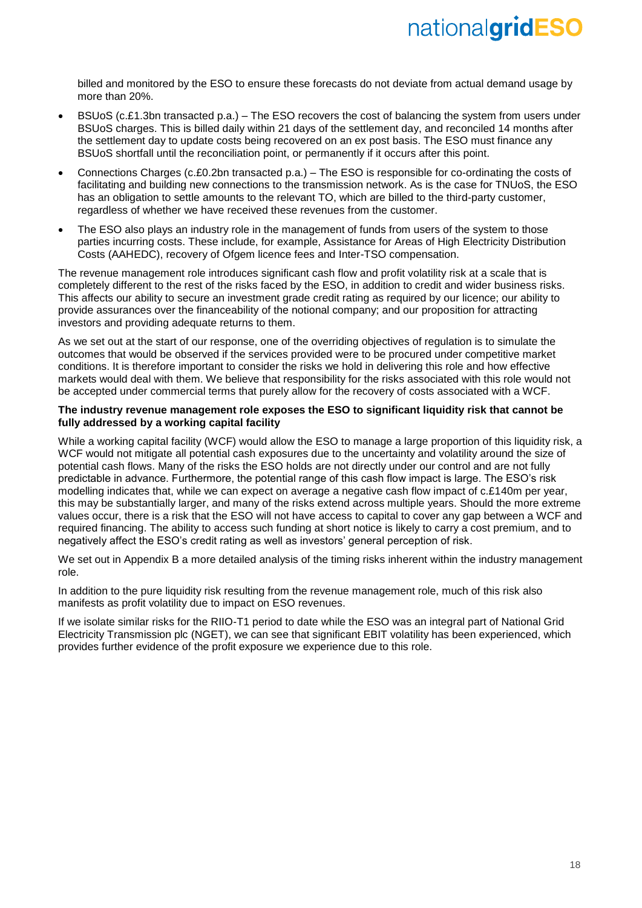billed and monitored by the ESO to ensure these forecasts do not deviate from actual demand usage by more than 20%.

- BSUoS (c.£1.3bn transacted p.a.) The ESO recovers the cost of balancing the system from users under BSUoS charges. This is billed daily within 21 days of the settlement day, and reconciled 14 months after the settlement day to update costs being recovered on an ex post basis. The ESO must finance any BSUoS shortfall until the reconciliation point, or permanently if it occurs after this point.
- Connections Charges (c.£0.2bn transacted p.a.) The ESO is responsible for co-ordinating the costs of facilitating and building new connections to the transmission network. As is the case for TNUoS, the ESO has an obligation to settle amounts to the relevant TO, which are billed to the third-party customer, regardless of whether we have received these revenues from the customer.
- The ESO also plays an industry role in the management of funds from users of the system to those parties incurring costs. These include, for example, Assistance for Areas of High Electricity Distribution Costs (AAHEDC), recovery of Ofgem licence fees and Inter-TSO compensation.

The revenue management role introduces significant cash flow and profit volatility risk at a scale that is completely different to the rest of the risks faced by the ESO, in addition to credit and wider business risks. This affects our ability to secure an investment grade credit rating as required by our licence; our ability to provide assurances over the financeability of the notional company; and our proposition for attracting investors and providing adequate returns to them.

As we set out at the start of our response, one of the overriding objectives of regulation is to simulate the outcomes that would be observed if the services provided were to be procured under competitive market conditions. It is therefore important to consider the risks we hold in delivering this role and how effective markets would deal with them. We believe that responsibility for the risks associated with this role would not be accepted under commercial terms that purely allow for the recovery of costs associated with a WCF.

### **The industry revenue management role exposes the ESO to significant liquidity risk that cannot be fully addressed by a working capital facility**

While a working capital facility (WCF) would allow the ESO to manage a large proportion of this liquidity risk, a WCF would not mitigate all potential cash exposures due to the uncertainty and volatility around the size of potential cash flows. Many of the risks the ESO holds are not directly under our control and are not fully predictable in advance. Furthermore, the potential range of this cash flow impact is large. The ESO's risk modelling indicates that, while we can expect on average a negative cash flow impact of c.£140m per year, this may be substantially larger, and many of the risks extend across multiple years. Should the more extreme values occur, there is a risk that the ESO will not have access to capital to cover any gap between a WCF and required financing. The ability to access such funding at short notice is likely to carry a cost premium, and to negatively affect the ESO's credit rating as well as investors' general perception of risk.

We set out in Appendix B a more detailed analysis of the timing risks inherent within the industry management role.

In addition to the pure liquidity risk resulting from the revenue management role, much of this risk also manifests as profit volatility due to impact on ESO revenues.

If we isolate similar risks for the RIIO-T1 period to date while the ESO was an integral part of National Grid Electricity Transmission plc (NGET), we can see that significant EBIT volatility has been experienced, which provides further evidence of the profit exposure we experience due to this role.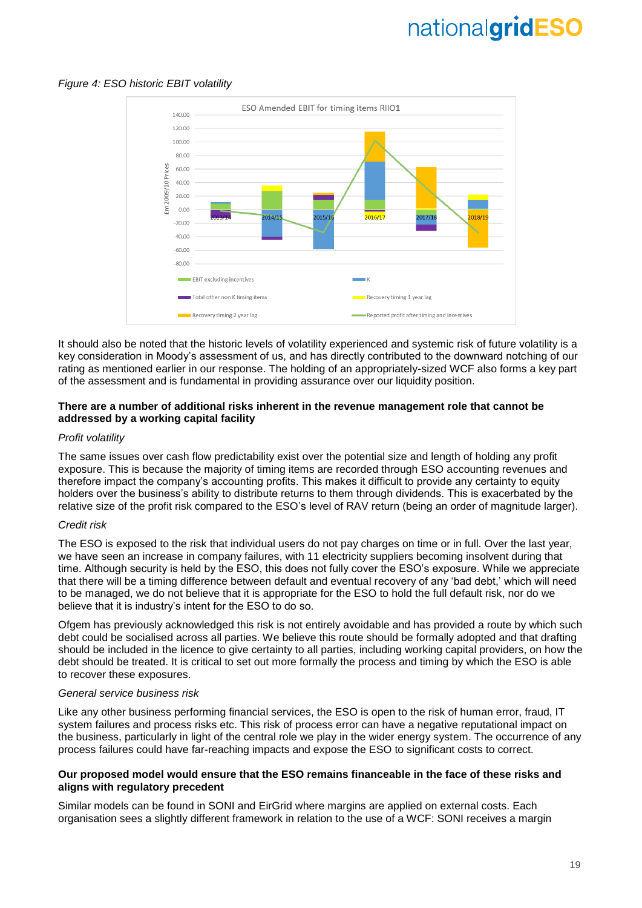### *Figure 4: ESO historic EBIT volatility*



It should also be noted that the historic levels of volatility experienced and systemic risk of future volatility is a key consideration in Moody's assessment of us, and has directly contributed to the downward notching of our rating as mentioned earlier in our response. The holding of an appropriately-sized WCF also forms a key part of the assessment and is fundamental in providing assurance over our liquidity position.

### **There are a number of additional risks inherent in the revenue management role that cannot be addressed by a working capital facility**

### *Profit volatility*

The same issues over cash flow predictability exist over the potential size and length of holding any profit exposure. This is because the majority of timing items are recorded through ESO accounting revenues and therefore impact the company's accounting profits. This makes it difficult to provide any certainty to equity holders over the business's ability to distribute returns to them through dividends. This is exacerbated by the relative size of the profit risk compared to the ESO's level of RAV return (being an order of magnitude larger).

### *Credit risk*

The ESO is exposed to the risk that individual users do not pay charges on time or in full. Over the last year, we have seen an increase in company failures, with 11 electricity suppliers becoming insolvent during that time. Although security is held by the ESO, this does not fully cover the ESO's exposure. While we appreciate that there will be a timing difference between default and eventual recovery of any 'bad debt,' which will need to be managed, we do not believe that it is appropriate for the ESO to hold the full default risk, nor do we believe that it is industry's intent for the ESO to do so.

Ofgem has previously acknowledged this risk is not entirely avoidable and has provided a route by which such debt could be socialised across all parties. We believe this route should be formally adopted and that drafting should be included in the licence to give certainty to all parties, including working capital providers, on how the debt should be treated. It is critical to set out more formally the process and timing by which the ESO is able to recover these exposures.

### *General service business risk*

Like any other business performing financial services, the ESO is open to the risk of human error, fraud, IT system failures and process risks etc. This risk of process error can have a negative reputational impact on the business, particularly in light of the central role we play in the wider energy system. The occurrence of any process failures could have far-reaching impacts and expose the ESO to significant costs to correct.

### **Our proposed model would ensure that the ESO remains financeable in the face of these risks and aligns with regulatory precedent**

Similar models can be found in SONI and EirGrid where margins are applied on external costs. Each organisation sees a slightly different framework in relation to the use of a WCF: SONI receives a margin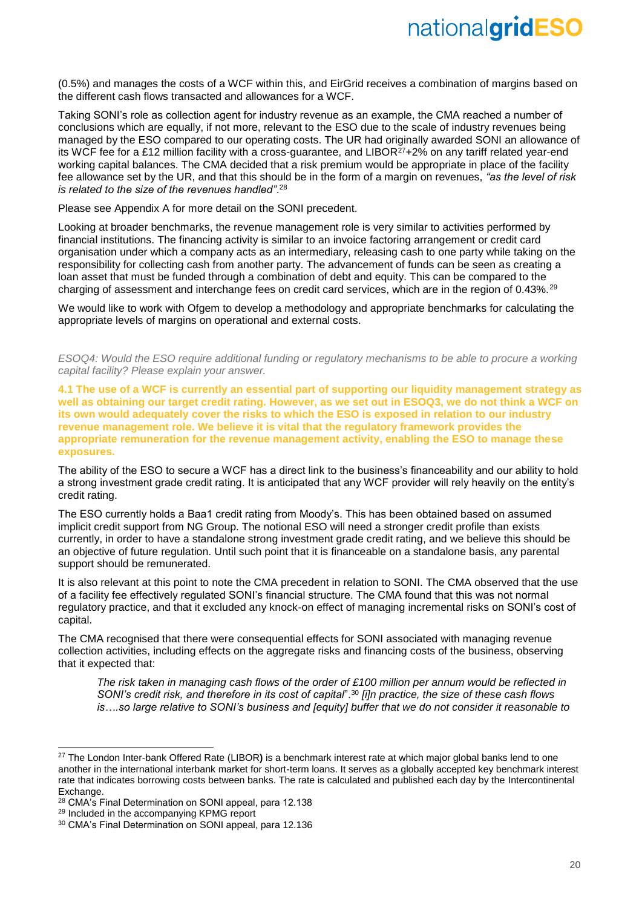(0.5%) and manages the costs of a WCF within this, and EirGrid receives a combination of margins based on the different cash flows transacted and allowances for a WCF.

Taking SONI's role as collection agent for industry revenue as an example, the CMA reached a number of conclusions which are equally, if not more, relevant to the ESO due to the scale of industry revenues being managed by the ESO compared to our operating costs. The UR had originally awarded SONI an allowance of its WCF fee for a £12 million facility with a cross-guarantee, and LIBOR<sup>27</sup>+2% on any tariff related year-end working capital balances. The CMA decided that a risk premium would be appropriate in place of the facility fee allowance set by the UR, and that this should be in the form of a margin on revenues, *"as the level of risk is related to the size of the revenues handled"*. 28

Please see Appendix A for more detail on the SONI precedent.

Looking at broader benchmarks, the revenue management role is very similar to activities performed by financial institutions. The financing activity is similar to an invoice factoring arrangement or credit card organisation under which a company acts as an intermediary, releasing cash to one party while taking on the responsibility for collecting cash from another party. The advancement of funds can be seen as creating a loan asset that must be funded through a combination of debt and equity. This can be compared to the charging of assessment and interchange fees on credit card services, which are in the region of 0.43%.<sup>29</sup>

We would like to work with Ofgem to develop a methodology and appropriate benchmarks for calculating the appropriate levels of margins on operational and external costs.

*ESOQ4: Would the ESO require additional funding or regulatory mechanisms to be able to procure a working capital facility? Please explain your answer.*

**4.1 The use of a WCF is currently an essential part of supporting our liquidity management strategy as well as obtaining our target credit rating. However, as we set out in ESOQ3, we do not think a WCF on its own would adequately cover the risks to which the ESO is exposed in relation to our industry revenue management role. We believe it is vital that the regulatory framework provides the appropriate remuneration for the revenue management activity, enabling the ESO to manage these exposures.**

The ability of the ESO to secure a WCF has a direct link to the business's financeability and our ability to hold a strong investment grade credit rating. It is anticipated that any WCF provider will rely heavily on the entity's credit rating.

The ESO currently holds a Baa1 credit rating from Moody's. This has been obtained based on assumed implicit credit support from NG Group. The notional ESO will need a stronger credit profile than exists currently, in order to have a standalone strong investment grade credit rating, and we believe this should be an objective of future regulation. Until such point that it is financeable on a standalone basis, any parental support should be remunerated.

It is also relevant at this point to note the CMA precedent in relation to SONI. The CMA observed that the use of a facility fee effectively regulated SONI's financial structure. The CMA found that this was not normal regulatory practice, and that it excluded any knock-on effect of managing incremental risks on SONI's cost of capital.

The CMA recognised that there were consequential effects for SONI associated with managing revenue collection activities, including effects on the aggregate risks and financing costs of the business, observing that it expected that:

*The risk taken in managing cash flows of the order of £100 million per annum would be reflected in SONI's credit risk, and therefore in its cost of capital*".<sup>30</sup> *[i]n practice, the size of these cash flows is….so large relative to SONI's business and [equity] buffer that we do not consider it reasonable to* 

 $\overline{a}$ 

<sup>27</sup> The London Inter-bank Offered Rate (LIBOR**)** is a benchmark interest rate at which major global banks lend to one another in the international interbank market for short-term loans. It serves as a globally accepted key benchmark interest rate that indicates borrowing costs between banks. The rate is calculated and published each day by the Intercontinental **Exchange** 

<sup>28</sup> CMA's Final Determination on SONI appeal, para 12.138

<sup>29</sup> Included in the accompanying KPMG report

<sup>30</sup> CMA's Final Determination on SONI appeal, para 12.136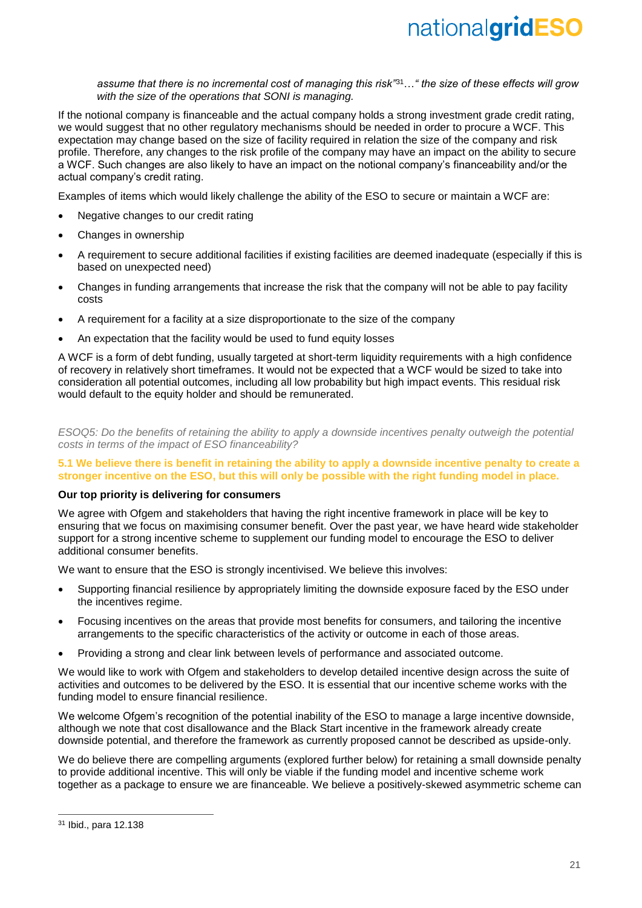*assume that there is no incremental cost of managing this risk"*<sup>31</sup>…*" the size of these effects will grow with the size of the operations that SONI is managing.*

If the notional company is financeable and the actual company holds a strong investment grade credit rating, we would suggest that no other regulatory mechanisms should be needed in order to procure a WCF. This expectation may change based on the size of facility required in relation the size of the company and risk profile. Therefore, any changes to the risk profile of the company may have an impact on the ability to secure a WCF. Such changes are also likely to have an impact on the notional company's financeability and/or the actual company's credit rating.

Examples of items which would likely challenge the ability of the ESO to secure or maintain a WCF are:

- Negative changes to our credit rating
- Changes in ownership
- A requirement to secure additional facilities if existing facilities are deemed inadequate (especially if this is based on unexpected need)
- Changes in funding arrangements that increase the risk that the company will not be able to pay facility costs
- A requirement for a facility at a size disproportionate to the size of the company
- An expectation that the facility would be used to fund equity losses

A WCF is a form of debt funding, usually targeted at short-term liquidity requirements with a high confidence of recovery in relatively short timeframes. It would not be expected that a WCF would be sized to take into consideration all potential outcomes, including all low probability but high impact events. This residual risk would default to the equity holder and should be remunerated.

*ESOQ5: Do the benefits of retaining the ability to apply a downside incentives penalty outweigh the potential costs in terms of the impact of ESO financeability?*

### **5.1 We believe there is benefit in retaining the ability to apply a downside incentive penalty to create a stronger incentive on the ESO, but this will only be possible with the right funding model in place.**

### **Our top priority is delivering for consumers**

We agree with Ofgem and stakeholders that having the right incentive framework in place will be key to ensuring that we focus on maximising consumer benefit. Over the past year, we have heard wide stakeholder support for a strong incentive scheme to supplement our funding model to encourage the ESO to deliver additional consumer benefits.

We want to ensure that the ESO is strongly incentivised. We believe this involves:

- Supporting financial resilience by appropriately limiting the downside exposure faced by the ESO under the incentives regime.
- Focusing incentives on the areas that provide most benefits for consumers, and tailoring the incentive arrangements to the specific characteristics of the activity or outcome in each of those areas.
- Providing a strong and clear link between levels of performance and associated outcome.

We would like to work with Ofgem and stakeholders to develop detailed incentive design across the suite of activities and outcomes to be delivered by the ESO. It is essential that our incentive scheme works with the funding model to ensure financial resilience.

We welcome Ofgem's recognition of the potential inability of the ESO to manage a large incentive downside, although we note that cost disallowance and the Black Start incentive in the framework already create downside potential, and therefore the framework as currently proposed cannot be described as upside-only.

We do believe there are compelling arguments (explored further below) for retaining a small downside penalty to provide additional incentive. This will only be viable if the funding model and incentive scheme work together as a package to ensure we are financeable. We believe a positively-skewed asymmetric scheme can

 $\overline{a}$ 

<sup>31</sup> Ibid., para 12.138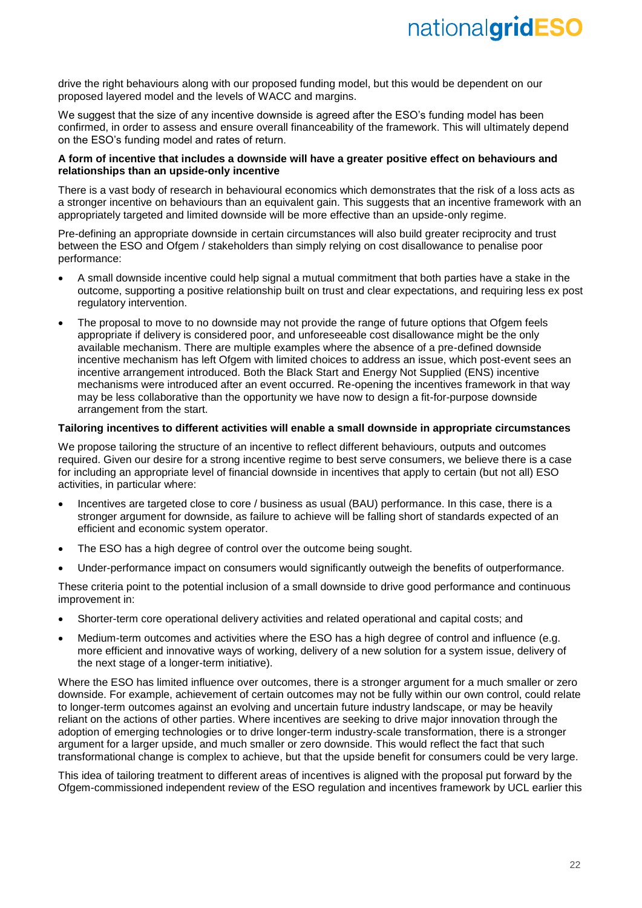drive the right behaviours along with our proposed funding model, but this would be dependent on our proposed layered model and the levels of WACC and margins.

We suggest that the size of any incentive downside is agreed after the ESO's funding model has been confirmed, in order to assess and ensure overall financeability of the framework. This will ultimately depend on the ESO's funding model and rates of return.

### **A form of incentive that includes a downside will have a greater positive effect on behaviours and relationships than an upside-only incentive**

There is a vast body of research in behavioural economics which demonstrates that the risk of a loss acts as a stronger incentive on behaviours than an equivalent gain. This suggests that an incentive framework with an appropriately targeted and limited downside will be more effective than an upside-only regime.

Pre-defining an appropriate downside in certain circumstances will also build greater reciprocity and trust between the ESO and Ofgem / stakeholders than simply relying on cost disallowance to penalise poor performance:

- A small downside incentive could help signal a mutual commitment that both parties have a stake in the outcome, supporting a positive relationship built on trust and clear expectations, and requiring less ex post regulatory intervention.
- The proposal to move to no downside may not provide the range of future options that Ofgem feels appropriate if delivery is considered poor, and unforeseeable cost disallowance might be the only available mechanism. There are multiple examples where the absence of a pre-defined downside incentive mechanism has left Ofgem with limited choices to address an issue, which post-event sees an incentive arrangement introduced. Both the Black Start and Energy Not Supplied (ENS) incentive mechanisms were introduced after an event occurred. Re-opening the incentives framework in that way may be less collaborative than the opportunity we have now to design a fit-for-purpose downside arrangement from the start.

### **Tailoring incentives to different activities will enable a small downside in appropriate circumstances**

We propose tailoring the structure of an incentive to reflect different behaviours, outputs and outcomes required. Given our desire for a strong incentive regime to best serve consumers, we believe there is a case for including an appropriate level of financial downside in incentives that apply to certain (but not all) ESO activities, in particular where:

- Incentives are targeted close to core / business as usual (BAU) performance. In this case, there is a stronger argument for downside, as failure to achieve will be falling short of standards expected of an efficient and economic system operator.
- The ESO has a high degree of control over the outcome being sought.
- Under-performance impact on consumers would significantly outweigh the benefits of outperformance.

These criteria point to the potential inclusion of a small downside to drive good performance and continuous improvement in:

- Shorter-term core operational delivery activities and related operational and capital costs; and
- Medium-term outcomes and activities where the ESO has a high degree of control and influence (e.g. more efficient and innovative ways of working, delivery of a new solution for a system issue, delivery of the next stage of a longer-term initiative).

Where the ESO has limited influence over outcomes, there is a stronger argument for a much smaller or zero downside. For example, achievement of certain outcomes may not be fully within our own control, could relate to longer-term outcomes against an evolving and uncertain future industry landscape, or may be heavily reliant on the actions of other parties. Where incentives are seeking to drive major innovation through the adoption of emerging technologies or to drive longer-term industry-scale transformation, there is a stronger argument for a larger upside, and much smaller or zero downside. This would reflect the fact that such transformational change is complex to achieve, but that the upside benefit for consumers could be very large.

This idea of tailoring treatment to different areas of incentives is aligned with the proposal put forward by the Ofgem-commissioned independent review of the ESO regulation and incentives framework by UCL earlier this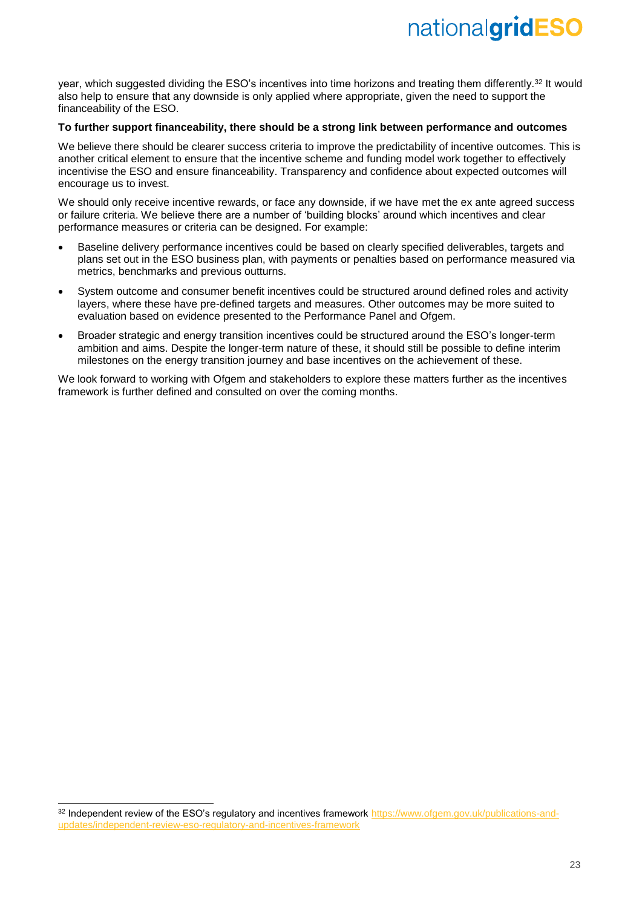year, which suggested dividing the ESO's incentives into time horizons and treating them differently.<sup>32</sup> It would also help to ensure that any downside is only applied where appropriate, given the need to support the financeability of the ESO.

### **To further support financeability, there should be a strong link between performance and outcomes**

We believe there should be clearer success criteria to improve the predictability of incentive outcomes. This is another critical element to ensure that the incentive scheme and funding model work together to effectively incentivise the ESO and ensure financeability. Transparency and confidence about expected outcomes will encourage us to invest.

We should only receive incentive rewards, or face any downside, if we have met the ex ante agreed success or failure criteria. We believe there are a number of 'building blocks' around which incentives and clear performance measures or criteria can be designed. For example:

- Baseline delivery performance incentives could be based on clearly specified deliverables, targets and plans set out in the ESO business plan, with payments or penalties based on performance measured via metrics, benchmarks and previous outturns.
- System outcome and consumer benefit incentives could be structured around defined roles and activity layers, where these have pre-defined targets and measures. Other outcomes may be more suited to evaluation based on evidence presented to the Performance Panel and Ofgem.
- Broader strategic and energy transition incentives could be structured around the ESO's longer-term ambition and aims. Despite the longer-term nature of these, it should still be possible to define interim milestones on the energy transition journey and base incentives on the achievement of these.

We look forward to working with Ofgem and stakeholders to explore these matters further as the incentives framework is further defined and consulted on over the coming months.

-

<sup>32</sup> Independent review of the ESO's regulatory and incentives framework [https://www.ofgem.gov.uk/publications-and](https://www.ofgem.gov.uk/publications-and-updates/independent-review-eso-regulatory-and-incentives-framework)[updates/independent-review-eso-regulatory-and-incentives-framework](https://www.ofgem.gov.uk/publications-and-updates/independent-review-eso-regulatory-and-incentives-framework)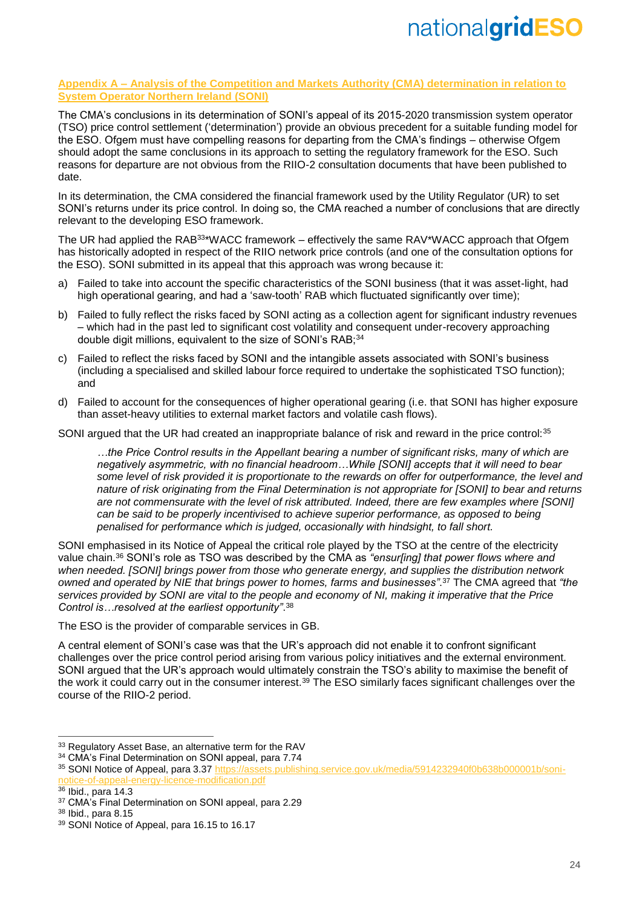### **Appendix A – Analysis of the Competition and Markets Authority (CMA) determination in relation to System Operator Northern Ireland (SONI)**

The CMA's conclusions in its determination of SONI's appeal of its 2015-2020 transmission system operator (TSO) price control settlement ('determination') provide an obvious precedent for a suitable funding model for the ESO. Ofgem must have compelling reasons for departing from the CMA's findings – otherwise Ofgem should adopt the same conclusions in its approach to setting the regulatory framework for the ESO. Such reasons for departure are not obvious from the RIIO-2 consultation documents that have been published to date.

In its determination, the CMA considered the financial framework used by the Utility Regulator (UR) to set SONI's returns under its price control. In doing so, the CMA reached a number of conclusions that are directly relevant to the developing ESO framework.

The UR had applied the RAB<sup>33</sup>\*WACC framework – effectively the same RAV\*WACC approach that Ofgem has historically adopted in respect of the RIIO network price controls (and one of the consultation options for the ESO). SONI submitted in its appeal that this approach was wrong because it:

- a) Failed to take into account the specific characteristics of the SONI business (that it was asset-light, had high operational gearing, and had a 'saw-tooth' RAB which fluctuated significantly over time);
- b) Failed to fully reflect the risks faced by SONI acting as a collection agent for significant industry revenues – which had in the past led to significant cost volatility and consequent under-recovery approaching double digit millions, equivalent to the size of SONI's RAB: 34
- c) Failed to reflect the risks faced by SONI and the intangible assets associated with SONI's business (including a specialised and skilled labour force required to undertake the sophisticated TSO function); and
- d) Failed to account for the consequences of higher operational gearing (i.e. that SONI has higher exposure than asset-heavy utilities to external market factors and volatile cash flows).

SONI argued that the UR had created an inappropriate balance of risk and reward in the price control:<sup>35</sup>

*…the Price Control results in the Appellant bearing a number of significant risks, many of which are negatively asymmetric, with no financial headroom…While [SONI] accepts that it will need to bear some level of risk provided it is proportionate to the rewards on offer for outperformance, the level and nature of risk originating from the Final Determination is not appropriate for [SONI] to bear and returns are not commensurate with the level of risk attributed. Indeed, there are few examples where [SONI] can be said to be properly incentivised to achieve superior performance, as opposed to being penalised for performance which is judged, occasionally with hindsight, to fall short.*

SONI emphasised in its Notice of Appeal the critical role played by the TSO at the centre of the electricity value chain.<sup>36</sup> SONI's role as TSO was described by the CMA as *"ensur[ing] that power flows where and when needed. [SONI] brings power from those who generate energy, and supplies the distribution network owned and operated by NIE that brings power to homes, farms and businesses"*. <sup>37</sup> The CMA agreed that *"the services provided by SONI are vital to the people and economy of NI, making it imperative that the Price Control is…resolved at the earliest opportunity"*. 38

The ESO is the provider of comparable services in GB.

A central element of SONI's case was that the UR's approach did not enable it to confront significant challenges over the price control period arising from various policy initiatives and the external environment. SONI argued that the UR's approach would ultimately constrain the TSO's ability to maximise the benefit of the work it could carry out in the consumer interest.<sup>39</sup> The ESO similarly faces significant challenges over the course of the RIIO-2 period.

-

<sup>33</sup> Regulatory Asset Base, an alternative term for the RAV

<sup>&</sup>lt;sup>34</sup> CMA's Final Determination on SONI appeal, para 7.74

<sup>35</sup> SONI Notice of Appeal, para 3.37 [https://assets.publishing.service.gov.uk/media/5914232940f0b638b000001b/soni](https://assets.publishing.service.gov.uk/media/5914232940f0b638b000001b/soni-notice-of-appeal-energy-licence-modification.pdf)[notice-of-appeal-energy-licence-modification.pdf](https://assets.publishing.service.gov.uk/media/5914232940f0b638b000001b/soni-notice-of-appeal-energy-licence-modification.pdf)

<sup>&</sup>lt;sup>36</sup> Ibid., para 14.3

<sup>&</sup>lt;sup>37</sup> CMA's Final Determination on SONI appeal, para 2.29

<sup>38</sup> Ibid., para 8.15

<sup>39</sup> SONI Notice of Appeal, para 16.15 to 16.17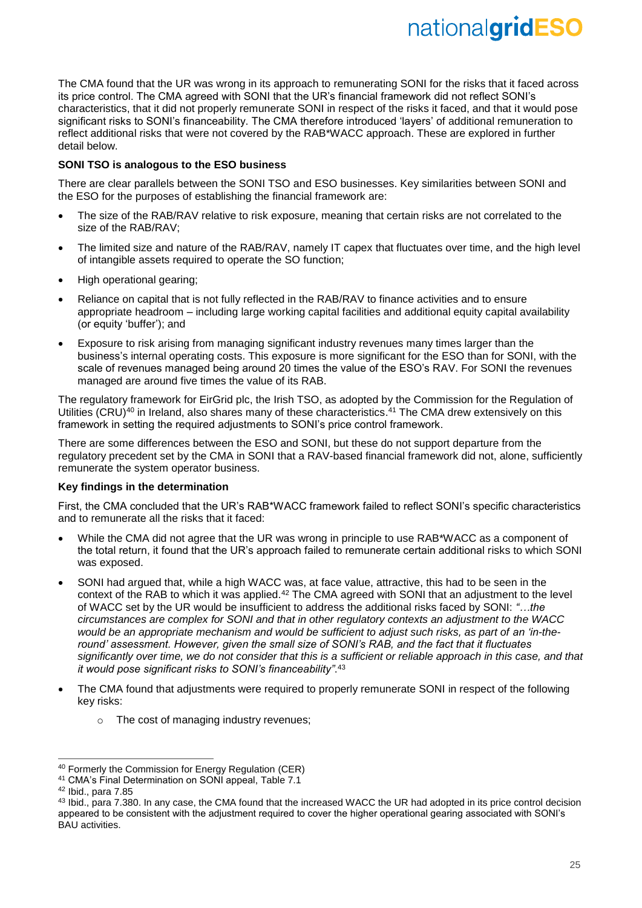The CMA found that the UR was wrong in its approach to remunerating SONI for the risks that it faced across its price control. The CMA agreed with SONI that the UR's financial framework did not reflect SONI's characteristics, that it did not properly remunerate SONI in respect of the risks it faced, and that it would pose significant risks to SONI's financeability. The CMA therefore introduced 'layers' of additional remuneration to reflect additional risks that were not covered by the RAB\*WACC approach. These are explored in further detail below.

### **SONI TSO is analogous to the ESO business**

There are clear parallels between the SONI TSO and ESO businesses. Key similarities between SONI and the ESO for the purposes of establishing the financial framework are:

- The size of the RAB/RAV relative to risk exposure, meaning that certain risks are not correlated to the size of the RAB/RAV;
- The limited size and nature of the RAB/RAV, namely IT capex that fluctuates over time, and the high level of intangible assets required to operate the SO function;
- High operational gearing;
- Reliance on capital that is not fully reflected in the RAB/RAV to finance activities and to ensure appropriate headroom – including large working capital facilities and additional equity capital availability (or equity 'buffer'); and
- Exposure to risk arising from managing significant industry revenues many times larger than the business's internal operating costs. This exposure is more significant for the ESO than for SONI, with the scale of revenues managed being around 20 times the value of the ESO's RAV. For SONI the revenues managed are around five times the value of its RAB.

The regulatory framework for EirGrid plc, the Irish TSO, as adopted by the Commission for the Regulation of Utilities (CRU)<sup>40</sup> in Ireland, also shares many of these characteristics.<sup>41</sup> The CMA drew extensively on this framework in setting the required adjustments to SONI's price control framework.

There are some differences between the ESO and SONI, but these do not support departure from the regulatory precedent set by the CMA in SONI that a RAV-based financial framework did not, alone, sufficiently remunerate the system operator business.

### **Key findings in the determination**

First, the CMA concluded that the UR's RAB\*WACC framework failed to reflect SONI's specific characteristics and to remunerate all the risks that it faced:

- While the CMA did not agree that the UR was wrong in principle to use RAB\*WACC as a component of the total return, it found that the UR's approach failed to remunerate certain additional risks to which SONI was exposed.
- SONI had argued that, while a high WACC was, at face value, attractive, this had to be seen in the context of the RAB to which it was applied.<sup>42</sup> The CMA agreed with SONI that an adjustment to the level of WACC set by the UR would be insufficient to address the additional risks faced by SONI: *"…the circumstances are complex for SONI and that in other regulatory contexts an adjustment to the WACC*  would be an appropriate mechanism and would be sufficient to adjust such risks, as part of an 'in-the*round' assessment. However, given the small size of SONI's RAB, and the fact that it fluctuates significantly over time, we do not consider that this is a sufficient or reliable approach in this case, and that it would pose significant risks to SONI's financeability"*. 43
- The CMA found that adjustments were required to properly remunerate SONI in respect of the following key risks:
	- o The cost of managing industry revenues;

 $\overline{a}$ 

<sup>40</sup> Formerly the Commission for Energy Regulation (CER)

<sup>41</sup> CMA's Final Determination on SONI appeal, Table 7.1

<sup>42</sup> Ibid., para 7.85

<sup>&</sup>lt;sup>43</sup> Ibid., para 7.380. In any case, the CMA found that the increased WACC the UR had adopted in its price control decision appeared to be consistent with the adjustment required to cover the higher operational gearing associated with SONI's BAU activities.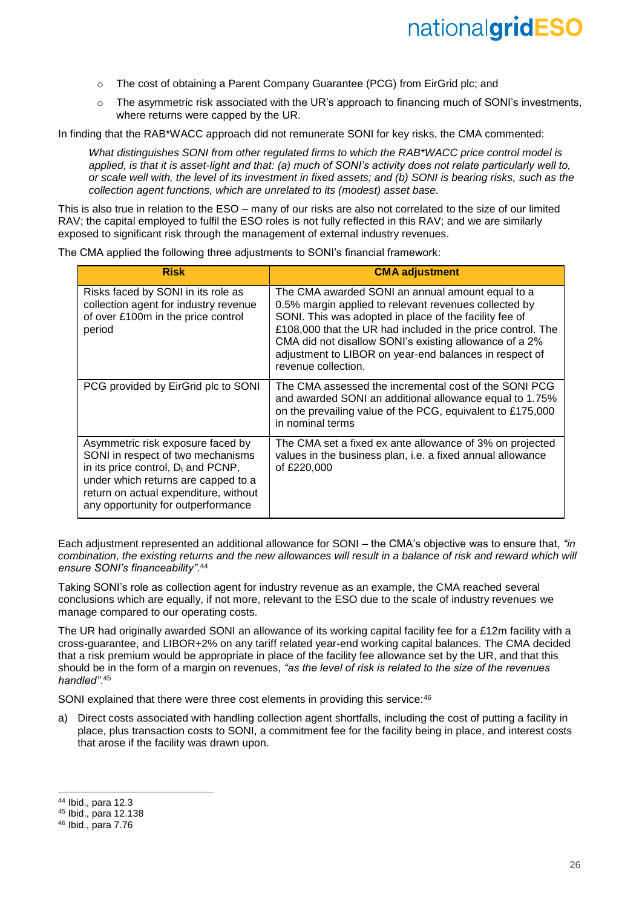- o The cost of obtaining a Parent Company Guarantee (PCG) from EirGrid plc; and
- $\circ$  The asymmetric risk associated with the UR's approach to financing much of SONI's investments, where returns were capped by the UR.

In finding that the RAB\*WACC approach did not remunerate SONI for key risks, the CMA commented:

*What distinguishes SONI from other regulated firms to which the RAB\*WACC price control model is applied, is that it is asset-light and that: (a) much of SONI's activity does not relate particularly well to, or scale well with, the level of its investment in fixed assets; and (b) SONI is bearing risks, such as the collection agent functions, which are unrelated to its (modest) asset base.*

This is also true in relation to the ESO – many of our risks are also not correlated to the size of our limited RAV; the capital employed to fulfil the ESO roles is not fully reflected in this RAV; and we are similarly exposed to significant risk through the management of external industry revenues.

The CMA applied the following three adjustments to SONI's financial framework:

| <b>Risk</b>                                                                                                                                                                                                                           | <b>CMA adjustment</b>                                                                                                                                                                                                                                                                                                                                                         |
|---------------------------------------------------------------------------------------------------------------------------------------------------------------------------------------------------------------------------------------|-------------------------------------------------------------------------------------------------------------------------------------------------------------------------------------------------------------------------------------------------------------------------------------------------------------------------------------------------------------------------------|
| Risks faced by SONI in its role as<br>collection agent for industry revenue<br>of over £100m in the price control<br>period                                                                                                           | The CMA awarded SONI an annual amount equal to a<br>0.5% margin applied to relevant revenues collected by<br>SONI. This was adopted in place of the facility fee of<br>£108,000 that the UR had included in the price control. The<br>CMA did not disallow SONI's existing allowance of a 2%<br>adjustment to LIBOR on year-end balances in respect of<br>revenue collection. |
| PCG provided by EirGrid plc to SONI                                                                                                                                                                                                   | The CMA assessed the incremental cost of the SONI PCG<br>and awarded SONI an additional allowance equal to 1.75%<br>on the prevailing value of the PCG, equivalent to £175,000<br>in nominal terms                                                                                                                                                                            |
| Asymmetric risk exposure faced by<br>SONI in respect of two mechanisms<br>in its price control, $D_t$ and PCNP,<br>under which returns are capped to a<br>return on actual expenditure, without<br>any opportunity for outperformance | The CMA set a fixed ex ante allowance of 3% on projected<br>values in the business plan, i.e. a fixed annual allowance<br>of £220,000                                                                                                                                                                                                                                         |

Each adjustment represented an additional allowance for SONI – the CMA's objective was to ensure that, *"in combination, the existing returns and the new allowances will result in a balance of risk and reward which will ensure SONI's financeability"*. 44

Taking SONI's role as collection agent for industry revenue as an example, the CMA reached several conclusions which are equally, if not more, relevant to the ESO due to the scale of industry revenues we manage compared to our operating costs.

The UR had originally awarded SONI an allowance of its working capital facility fee for a £12m facility with a cross-guarantee, and LIBOR+2% on any tariff related year-end working capital balances. The CMA decided that a risk premium would be appropriate in place of the facility fee allowance set by the UR, and that this should be in the form of a margin on revenues, *"as the level of risk is related to the size of the revenues handled"*. 45

SONI explained that there were three cost elements in providing this service: 46

a) Direct costs associated with handling collection agent shortfalls, including the cost of putting a facility in place, plus transaction costs to SONI, a commitment fee for the facility being in place, and interest costs that arose if the facility was drawn upon.

-

<sup>44</sup> Ibid., para 12.3

<sup>45</sup> Ibid., para 12.138

<sup>46</sup> Ibid., para 7.76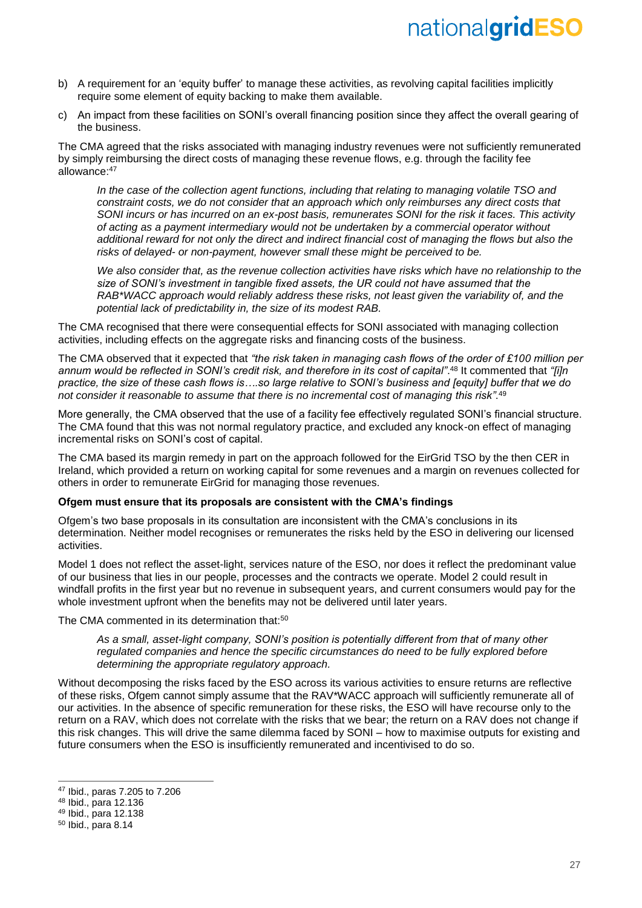- b) A requirement for an 'equity buffer' to manage these activities, as revolving capital facilities implicitly require some element of equity backing to make them available.
- c) An impact from these facilities on SONI's overall financing position since they affect the overall gearing of the business.

The CMA agreed that the risks associated with managing industry revenues were not sufficiently remunerated by simply reimbursing the direct costs of managing these revenue flows, e.g. through the facility fee allowance: 47

*In the case of the collection agent functions, including that relating to managing volatile TSO and constraint costs, we do not consider that an approach which only reimburses any direct costs that SONI incurs or has incurred on an ex-post basis, remunerates SONI for the risk it faces. This activity of acting as a payment intermediary would not be undertaken by a commercial operator without additional reward for not only the direct and indirect financial cost of managing the flows but also the risks of delayed- or non-payment, however small these might be perceived to be.* 

*We also consider that, as the revenue collection activities have risks which have no relationship to the size of SONI's investment in tangible fixed assets, the UR could not have assumed that the RAB\*WACC approach would reliably address these risks, not least given the variability of, and the potential lack of predictability in, the size of its modest RAB.*

The CMA recognised that there were consequential effects for SONI associated with managing collection activities, including effects on the aggregate risks and financing costs of the business.

The CMA observed that it expected that *"the risk taken in managing cash flows of the order of £100 million per annum would be reflected in SONI's credit risk, and therefore in its cost of capital"*. <sup>48</sup> It commented that *"[i]n practice, the size of these cash flows is….so large relative to SONI's business and [equity] buffer that we do not consider it reasonable to assume that there is no incremental cost of managing this risk"*. 49

More generally, the CMA observed that the use of a facility fee effectively regulated SONI's financial structure. The CMA found that this was not normal regulatory practice, and excluded any knock-on effect of managing incremental risks on SONI's cost of capital.

The CMA based its margin remedy in part on the approach followed for the EirGrid TSO by the then CER in Ireland, which provided a return on working capital for some revenues and a margin on revenues collected for others in order to remunerate EirGrid for managing those revenues.

### **Ofgem must ensure that its proposals are consistent with the CMA's findings**

Ofgem's two base proposals in its consultation are inconsistent with the CMA's conclusions in its determination. Neither model recognises or remunerates the risks held by the ESO in delivering our licensed activities.

Model 1 does not reflect the asset-light, services nature of the ESO, nor does it reflect the predominant value of our business that lies in our people, processes and the contracts we operate. Model 2 could result in windfall profits in the first year but no revenue in subsequent years, and current consumers would pay for the whole investment upfront when the benefits may not be delivered until later years.

The CMA commented in its determination that:<sup>50</sup>

*As a small, asset-light company, SONI's position is potentially different from that of many other regulated companies and hence the specific circumstances do need to be fully explored before determining the appropriate regulatory approach.* 

Without decomposing the risks faced by the ESO across its various activities to ensure returns are reflective of these risks, Ofgem cannot simply assume that the RAV\*WACC approach will sufficiently remunerate all of our activities. In the absence of specific remuneration for these risks, the ESO will have recourse only to the return on a RAV, which does not correlate with the risks that we bear; the return on a RAV does not change if this risk changes. This will drive the same dilemma faced by SONI – how to maximise outputs for existing and future consumers when the ESO is insufficiently remunerated and incentivised to do so.

 $\overline{a}$ 

<sup>47</sup> Ibid., paras 7.205 to 7.206

<sup>48</sup> Ibid., para 12.136

<sup>49</sup> Ibid., para 12.138

<sup>50</sup> Ibid., para 8.14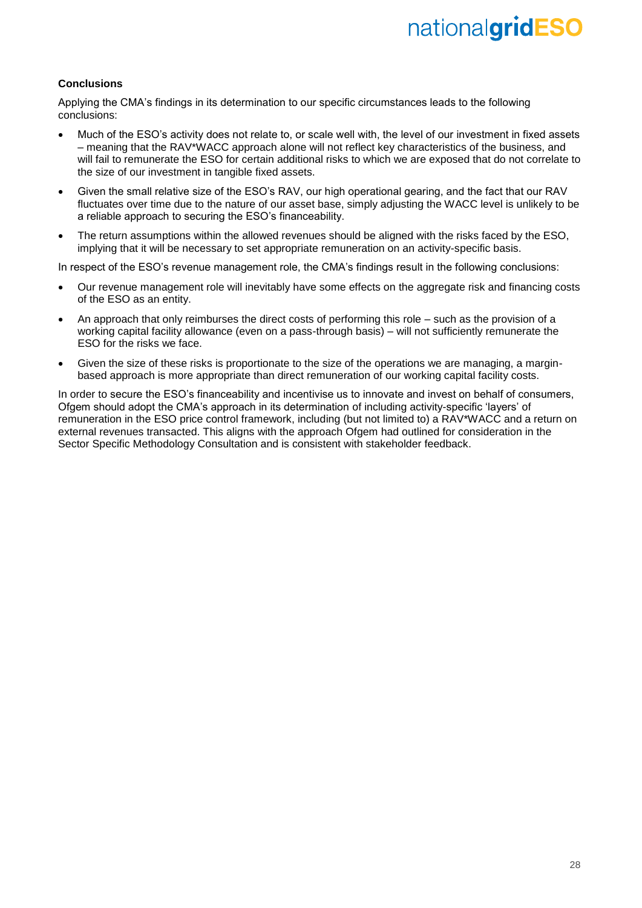### **Conclusions**

Applying the CMA's findings in its determination to our specific circumstances leads to the following conclusions:

- Much of the ESO's activity does not relate to, or scale well with, the level of our investment in fixed assets – meaning that the RAV\*WACC approach alone will not reflect key characteristics of the business, and will fail to remunerate the ESO for certain additional risks to which we are exposed that do not correlate to the size of our investment in tangible fixed assets.
- Given the small relative size of the ESO's RAV, our high operational gearing, and the fact that our RAV fluctuates over time due to the nature of our asset base, simply adjusting the WACC level is unlikely to be a reliable approach to securing the ESO's financeability.
- The return assumptions within the allowed revenues should be aligned with the risks faced by the ESO, implying that it will be necessary to set appropriate remuneration on an activity-specific basis.

In respect of the ESO's revenue management role, the CMA's findings result in the following conclusions:

- Our revenue management role will inevitably have some effects on the aggregate risk and financing costs of the ESO as an entity.
- An approach that only reimburses the direct costs of performing this role such as the provision of a working capital facility allowance (even on a pass-through basis) – will not sufficiently remunerate the ESO for the risks we face.
- Given the size of these risks is proportionate to the size of the operations we are managing, a marginbased approach is more appropriate than direct remuneration of our working capital facility costs.

In order to secure the ESO's financeability and incentivise us to innovate and invest on behalf of consumers, Ofgem should adopt the CMA's approach in its determination of including activity-specific 'layers' of remuneration in the ESO price control framework, including (but not limited to) a RAV\*WACC and a return on external revenues transacted. This aligns with the approach Ofgem had outlined for consideration in the Sector Specific Methodology Consultation and is consistent with stakeholder feedback.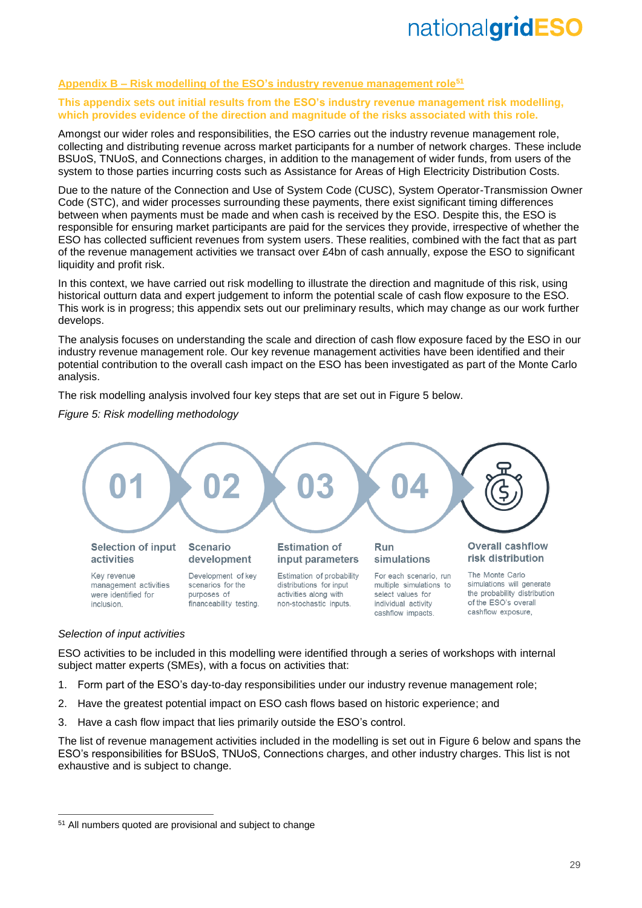### **Appendix B – Risk modelling of the ESO's industry revenue management role<sup>51</sup>**

### **This appendix sets out initial results from the ESO's industry revenue management risk modelling, which provides evidence of the direction and magnitude of the risks associated with this role.**

Amongst our wider roles and responsibilities, the ESO carries out the industry revenue management role, collecting and distributing revenue across market participants for a number of network charges. These include BSUoS, TNUoS, and Connections charges, in addition to the management of wider funds, from users of the system to those parties incurring costs such as Assistance for Areas of High Electricity Distribution Costs.

Due to the nature of the Connection and Use of System Code (CUSC), System Operator-Transmission Owner Code (STC), and wider processes surrounding these payments, there exist significant timing differences between when payments must be made and when cash is received by the ESO. Despite this, the ESO is responsible for ensuring market participants are paid for the services they provide, irrespective of whether the ESO has collected sufficient revenues from system users. These realities, combined with the fact that as part of the revenue management activities we transact over £4bn of cash annually, expose the ESO to significant liquidity and profit risk.

In this context, we have carried out risk modelling to illustrate the direction and magnitude of this risk, using historical outturn data and expert judgement to inform the potential scale of cash flow exposure to the ESO. This work is in progress; this appendix sets out our preliminary results, which may change as our work further develops.

The analysis focuses on understanding the scale and direction of cash flow exposure faced by the ESO in our industry revenue management role. Our key revenue management activities have been identified and their potential contribution to the overall cash impact on the ESO has been investigated as part of the Monte Carlo analysis.

The risk modelling analysis involved four key steps that are set out in Figure 5 below.

### *Figure 5: Risk modelling methodology*



### *Selection of input activities*

 $\overline{a}$ 

ESO activities to be included in this modelling were identified through a series of workshops with internal subject matter experts (SMEs), with a focus on activities that:

- 1. Form part of the ESO's day-to-day responsibilities under our industry revenue management role;
- 2. Have the greatest potential impact on ESO cash flows based on historic experience; and
- 3. Have a cash flow impact that lies primarily outside the ESO's control.

The list of revenue management activities included in the modelling is set out in Figure 6 below and spans the ESO's responsibilities for BSUoS, TNUoS, Connections charges, and other industry charges. This list is not exhaustive and is subject to change.

<sup>51</sup> All numbers quoted are provisional and subject to change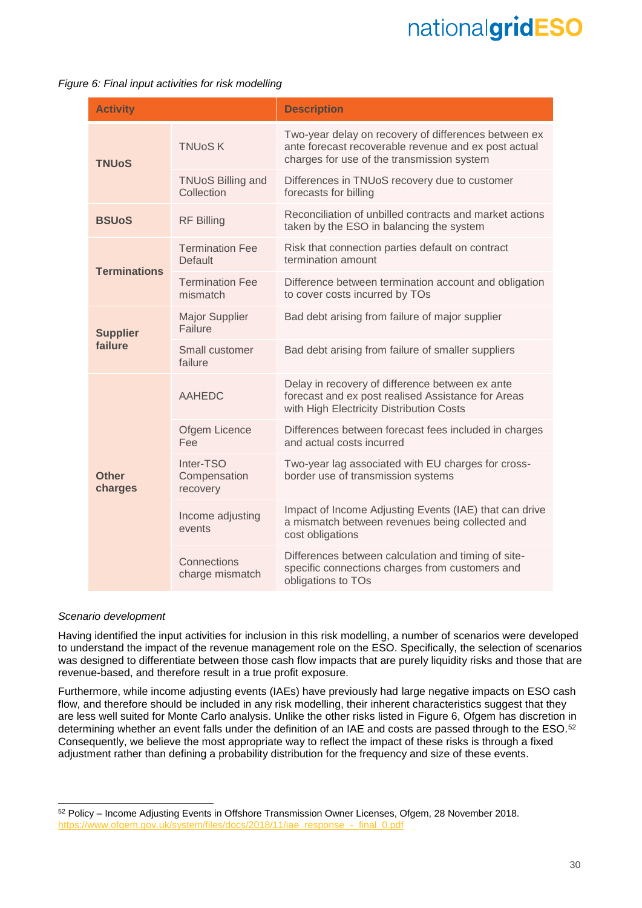*Figure 6: Final input activities for risk modelling*

| <b>Activity</b>         |                                        | <b>Description</b>                                                                                                                                         |
|-------------------------|----------------------------------------|------------------------------------------------------------------------------------------------------------------------------------------------------------|
| <b>TNUoS</b>            | <b>TNUoSK</b>                          | Two-year delay on recovery of differences between ex<br>ante forecast recoverable revenue and ex post actual<br>charges for use of the transmission system |
|                         | <b>TNUoS Billing and</b><br>Collection | Differences in TNUoS recovery due to customer<br>forecasts for billing                                                                                     |
| <b>BSUoS</b>            | <b>RF Billing</b>                      | Reconciliation of unbilled contracts and market actions<br>taken by the ESO in balancing the system                                                        |
| <b>Terminations</b>     | <b>Termination Fee</b><br>Default      | Risk that connection parties default on contract<br>termination amount                                                                                     |
|                         | <b>Termination Fee</b><br>mismatch     | Difference between termination account and obligation<br>to cover costs incurred by TOs                                                                    |
| <b>Supplier</b>         | <b>Major Supplier</b><br>Failure       | Bad debt arising from failure of major supplier                                                                                                            |
| failure                 | Small customer<br>failure              | Bad debt arising from failure of smaller suppliers                                                                                                         |
|                         | <b>AAHEDC</b>                          | Delay in recovery of difference between ex ante<br>forecast and ex post realised Assistance for Areas<br>with High Electricity Distribution Costs          |
|                         | Ofgem Licence<br>Fee                   | Differences between forecast fees included in charges<br>and actual costs incurred                                                                         |
| <b>Other</b><br>charges | Inter-TSO<br>Compensation<br>recovery  | Two-year lag associated with EU charges for cross-<br>border use of transmission systems                                                                   |
|                         | Income adjusting<br>events             | Impact of Income Adjusting Events (IAE) that can drive<br>a mismatch between revenues being collected and<br>cost obligations                              |
|                         | Connections<br>charge mismatch         | Differences between calculation and timing of site-<br>specific connections charges from customers and<br>obligations to TOs                               |

### *Scenario development*

-

Having identified the input activities for inclusion in this risk modelling, a number of scenarios were developed to understand the impact of the revenue management role on the ESO. Specifically, the selection of scenarios was designed to differentiate between those cash flow impacts that are purely liquidity risks and those that are revenue-based, and therefore result in a true profit exposure.

Furthermore, while income adjusting events (IAEs) have previously had large negative impacts on ESO cash flow, and therefore should be included in any risk modelling, their inherent characteristics suggest that they are less well suited for Monte Carlo analysis. Unlike the other risks listed in Figure 6, Ofgem has discretion in determining whether an event falls under the definition of an IAE and costs are passed through to the ESO.<sup>52</sup> Consequently, we believe the most appropriate way to reflect the impact of these risks is through a fixed adjustment rather than defining a probability distribution for the frequency and size of these events.

<sup>52</sup> Policy – Income Adjusting Events in Offshore Transmission Owner Licenses, Ofgem, 28 November 2018. [https://www.ofgem.gov.uk/system/files/docs/2018/11/iae\\_response\\_-\\_final\\_0.pdf](https://www.ofgem.gov.uk/system/files/docs/2018/11/iae_response_-_final_0.pdf)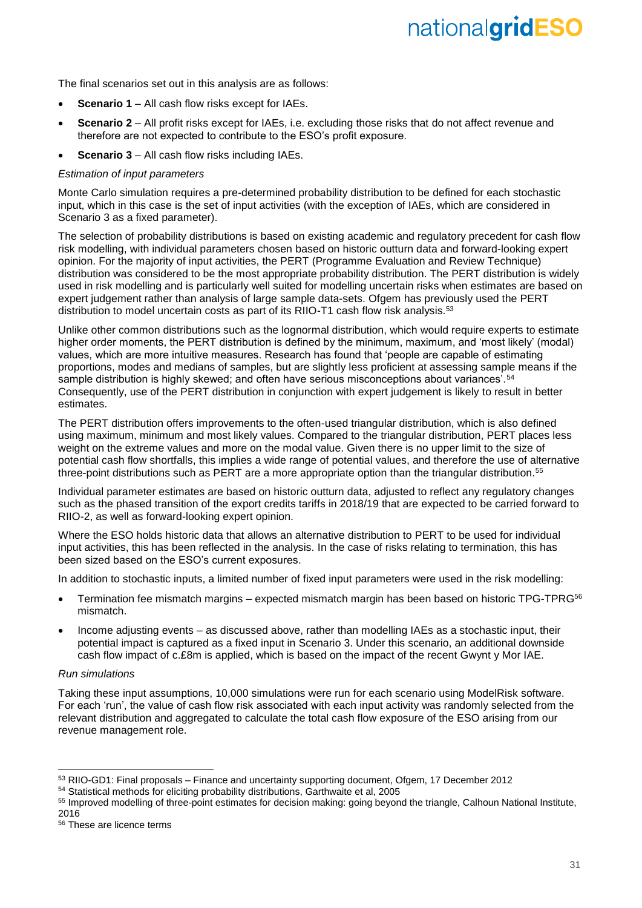The final scenarios set out in this analysis are as follows:

- **Scenario 1** All cash flow risks except for IAEs.
- **Scenario 2** All profit risks except for IAEs, i.e. excluding those risks that do not affect revenue and therefore are not expected to contribute to the ESO's profit exposure.
- **Scenario 3** All cash flow risks including IAEs.

### *Estimation of input parameters*

Monte Carlo simulation requires a pre-determined probability distribution to be defined for each stochastic input, which in this case is the set of input activities (with the exception of IAEs, which are considered in Scenario 3 as a fixed parameter).

The selection of probability distributions is based on existing academic and regulatory precedent for cash flow risk modelling, with individual parameters chosen based on historic outturn data and forward-looking expert opinion. For the majority of input activities, the PERT (Programme Evaluation and Review Technique) distribution was considered to be the most appropriate probability distribution. The PERT distribution is widely used in risk modelling and is particularly well suited for modelling uncertain risks when estimates are based on expert judgement rather than analysis of large sample data-sets. Ofgem has previously used the PERT distribution to model uncertain costs as part of its RIIO-T1 cash flow risk analysis.<sup>53</sup>

Unlike other common distributions such as the lognormal distribution, which would require experts to estimate higher order moments, the PERT distribution is defined by the minimum, maximum, and 'most likely' (modal) values, which are more intuitive measures. Research has found that 'people are capable of estimating proportions, modes and medians of samples, but are slightly less proficient at assessing sample means if the sample distribution is highly skewed; and often have serious misconceptions about variances'.<sup>54</sup> Consequently, use of the PERT distribution in conjunction with expert judgement is likely to result in better estimates.

The PERT distribution offers improvements to the often-used triangular distribution, which is also defined using maximum, minimum and most likely values. Compared to the triangular distribution, PERT places less weight on the extreme values and more on the modal value. Given there is no upper limit to the size of potential cash flow shortfalls, this implies a wide range of potential values, and therefore the use of alternative three-point distributions such as PERT are a more appropriate option than the triangular distribution.<sup>55</sup>

Individual parameter estimates are based on historic outturn data, adjusted to reflect any regulatory changes such as the phased transition of the export credits tariffs in 2018/19 that are expected to be carried forward to RIIO-2, as well as forward-looking expert opinion.

Where the ESO holds historic data that allows an alternative distribution to PERT to be used for individual input activities, this has been reflected in the analysis. In the case of risks relating to termination, this has been sized based on the ESO's current exposures.

In addition to stochastic inputs, a limited number of fixed input parameters were used in the risk modelling:

- Termination fee mismatch margins expected mismatch margin has been based on historic TPG-TPRG<sup>56</sup> mismatch.
- Income adjusting events as discussed above, rather than modelling IAEs as a stochastic input, their potential impact is captured as a fixed input in Scenario 3. Under this scenario, an additional downside cash flow impact of c.£8m is applied, which is based on the impact of the recent Gwynt y Mor IAE.

### *Run simulations*

-

Taking these input assumptions, 10,000 simulations were run for each scenario using ModelRisk software. For each 'run', the value of cash flow risk associated with each input activity was randomly selected from the relevant distribution and aggregated to calculate the total cash flow exposure of the ESO arising from our revenue management role.

<sup>53</sup> RIIO-GD1: Final proposals – Finance and uncertainty supporting document, Ofgem, 17 December 2012

<sup>54</sup> Statistical methods for eliciting probability distributions, Garthwaite et al, 2005

<sup>55</sup> Improved modelling of three-point estimates for decision making: going beyond the triangle, Calhoun National Institute, 2016

<sup>56</sup> These are licence terms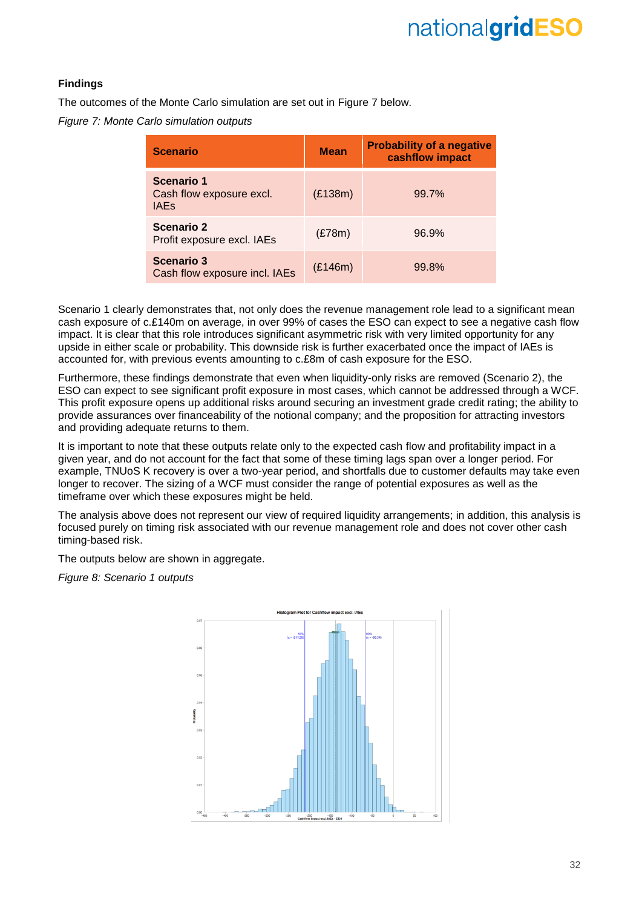### **Findings**

The outcomes of the Monte Carlo simulation are set out in Figure 7 below.

*Figure 7: Monte Carlo simulation outputs*

| <b>Scenario</b>                                       | <b>Mean</b> | <b>Probability of a negative</b><br>cashflow impact |
|-------------------------------------------------------|-------------|-----------------------------------------------------|
| Scenario 1<br>Cash flow exposure excl.<br><b>IAEs</b> | (E138m)     | 99.7%                                               |
| <b>Scenario 2</b><br>Profit exposure excl. IAEs       | (E78m)      | 96.9%                                               |
| <b>Scenario 3</b><br>Cash flow exposure incl. IAEs    | (E146m)     | 99.8%                                               |

Scenario 1 clearly demonstrates that, not only does the revenue management role lead to a significant mean cash exposure of c.£140m on average, in over 99% of cases the ESO can expect to see a negative cash flow impact. It is clear that this role introduces significant asymmetric risk with very limited opportunity for any upside in either scale or probability. This downside risk is further exacerbated once the impact of IAEs is accounted for, with previous events amounting to c.£8m of cash exposure for the ESO.

Furthermore, these findings demonstrate that even when liquidity-only risks are removed (Scenario 2), the ESO can expect to see significant profit exposure in most cases, which cannot be addressed through a WCF. This profit exposure opens up additional risks around securing an investment grade credit rating; the ability to provide assurances over financeability of the notional company; and the proposition for attracting investors and providing adequate returns to them.

It is important to note that these outputs relate only to the expected cash flow and profitability impact in a given year, and do not account for the fact that some of these timing lags span over a longer period. For example, TNUoS K recovery is over a two-year period, and shortfalls due to customer defaults may take even longer to recover. The sizing of a WCF must consider the range of potential exposures as well as the timeframe over which these exposures might be held.

The analysis above does not represent our view of required liquidity arrangements; in addition, this analysis is focused purely on timing risk associated with our revenue management role and does not cover other cash timing-based risk.

The outputs below are shown in aggregate.

*Figure 8: Scenario 1 outputs*

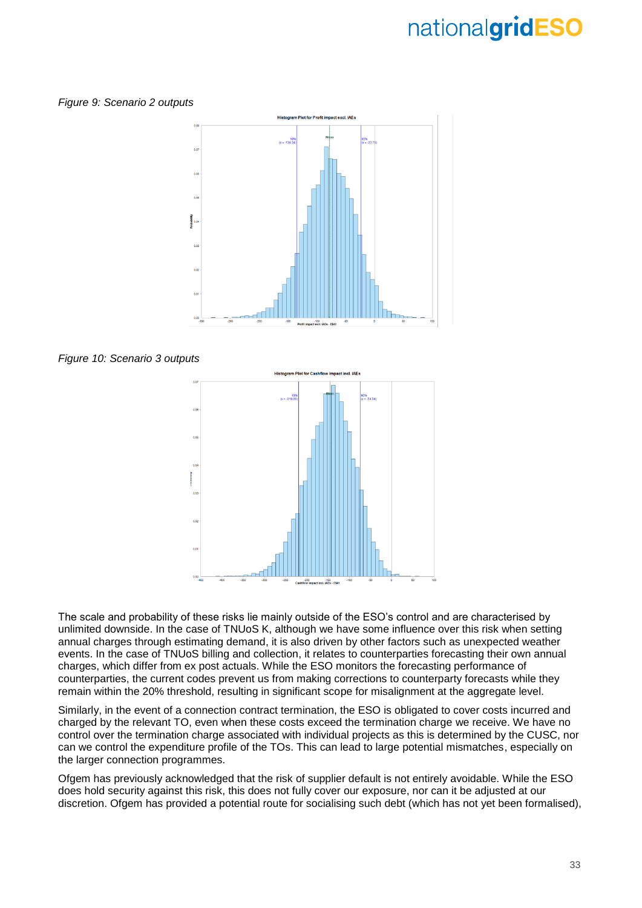*Figure 9: Scenario 2 outputs*







The scale and probability of these risks lie mainly outside of the ESO's control and are characterised by unlimited downside. In the case of TNUoS K, although we have some influence over this risk when setting annual charges through estimating demand, it is also driven by other factors such as unexpected weather events. In the case of TNUoS billing and collection, it relates to counterparties forecasting their own annual charges, which differ from ex post actuals. While the ESO monitors the forecasting performance of counterparties, the current codes prevent us from making corrections to counterparty forecasts while they remain within the 20% threshold, resulting in significant scope for misalignment at the aggregate level.

Similarly, in the event of a connection contract termination, the ESO is obligated to cover costs incurred and charged by the relevant TO, even when these costs exceed the termination charge we receive. We have no control over the termination charge associated with individual projects as this is determined by the CUSC, nor can we control the expenditure profile of the TOs. This can lead to large potential mismatches, especially on the larger connection programmes.

Ofgem has previously acknowledged that the risk of supplier default is not entirely avoidable. While the ESO does hold security against this risk, this does not fully cover our exposure, nor can it be adjusted at our discretion. Ofgem has provided a potential route for socialising such debt (which has not yet been formalised),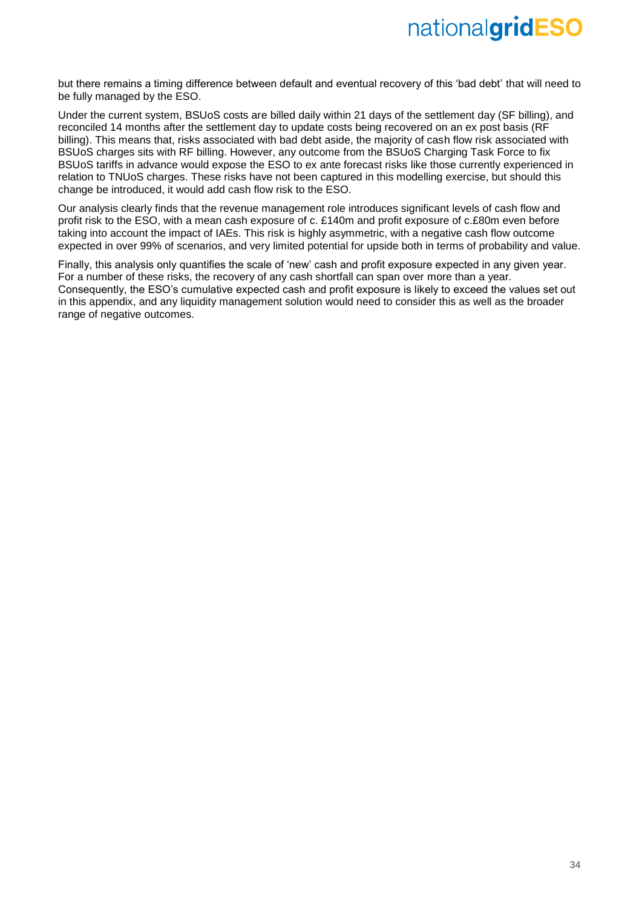but there remains a timing difference between default and eventual recovery of this 'bad debt' that will need to be fully managed by the ESO.

Under the current system, BSUoS costs are billed daily within 21 days of the settlement day (SF billing), and reconciled 14 months after the settlement day to update costs being recovered on an ex post basis (RF billing). This means that, risks associated with bad debt aside, the majority of cash flow risk associated with BSUoS charges sits with RF billing. However, any outcome from the BSUoS Charging Task Force to fix BSUoS tariffs in advance would expose the ESO to ex ante forecast risks like those currently experienced in relation to TNUoS charges. These risks have not been captured in this modelling exercise, but should this change be introduced, it would add cash flow risk to the ESO.

Our analysis clearly finds that the revenue management role introduces significant levels of cash flow and profit risk to the ESO, with a mean cash exposure of c. £140m and profit exposure of c.£80m even before taking into account the impact of IAEs. This risk is highly asymmetric, with a negative cash flow outcome expected in over 99% of scenarios, and very limited potential for upside both in terms of probability and value.

Finally, this analysis only quantifies the scale of 'new' cash and profit exposure expected in any given year. For a number of these risks, the recovery of any cash shortfall can span over more than a year. Consequently, the ESO's cumulative expected cash and profit exposure is likely to exceed the values set out in this appendix, and any liquidity management solution would need to consider this as well as the broader range of negative outcomes.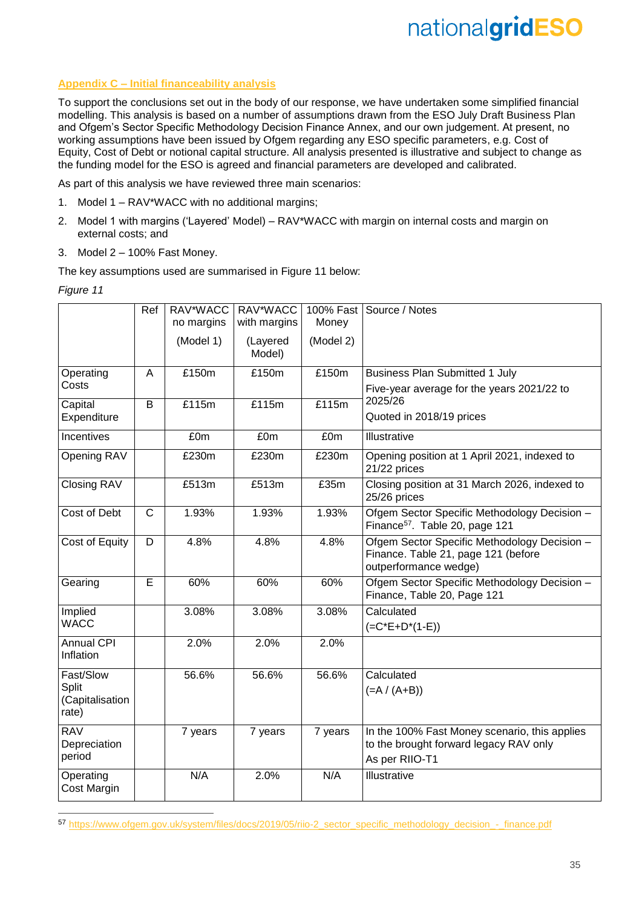### **Appendix C – Initial financeability analysis**

To support the conclusions set out in the body of our response, we have undertaken some simplified financial modelling. This analysis is based on a number of assumptions drawn from the ESO July Draft Business Plan and Ofgem's Sector Specific Methodology Decision Finance Annex, and our own judgement. At present, no working assumptions have been issued by Ofgem regarding any ESO specific parameters, e.g. Cost of Equity, Cost of Debt or notional capital structure. All analysis presented is illustrative and subject to change as the funding model for the ESO is agreed and financial parameters are developed and calibrated.

As part of this analysis we have reviewed three main scenarios:

- 1. Model 1 RAV\*WACC with no additional margins;
- 2. Model 1 with margins ('Layered' Model) RAV\*WACC with margin on internal costs and margin on external costs; and
- 3. Model 2 100% Fast Money.

The key assumptions used are summarised in Figure 11 below:

*Figure 11*

-

|                                   | Ref         | RAV*WACC   | RAV*WACC           |           | 100% Fast Source / Notes                                                                                     |
|-----------------------------------|-------------|------------|--------------------|-----------|--------------------------------------------------------------------------------------------------------------|
|                                   |             | no margins | with margins       | Money     |                                                                                                              |
|                                   |             |            |                    |           |                                                                                                              |
|                                   |             | (Model 1)  | (Layered<br>Model) | (Model 2) |                                                                                                              |
| Operating                         | A           | £150m      | £150m              | £150m     | <b>Business Plan Submitted 1 July</b>                                                                        |
| Costs                             |             |            |                    |           | Five-year average for the years 2021/22 to                                                                   |
| Capital                           | B           | £115m      | £115m              | £115m     | 2025/26                                                                                                      |
| Expenditure                       |             |            |                    |           | Quoted in 2018/19 prices                                                                                     |
| Incentives                        |             | £0m        | £0m                | £0m       | Illustrative                                                                                                 |
| Opening RAV                       |             | £230m      | £230m              | £230m     | Opening position at 1 April 2021, indexed to<br>21/22 prices                                                 |
| <b>Closing RAV</b>                |             | £513m      | £513m              | £35m      | Closing position at 31 March 2026, indexed to<br>25/26 prices                                                |
| Cost of Debt                      | $\mathsf C$ | 1.93%      | 1.93%              | 1.93%     | Ofgem Sector Specific Methodology Decision -<br>Finance <sup>57</sup> . Table 20, page 121                   |
| Cost of Equity                    | D           | 4.8%       | 4.8%               | 4.8%      | Ofgem Sector Specific Methodology Decision -<br>Finance. Table 21, page 121 (before<br>outperformance wedge) |
| Gearing                           | E           | 60%        | 60%                | 60%       | Ofgem Sector Specific Methodology Decision -<br>Finance, Table 20, Page 121                                  |
| Implied                           |             | 3.08%      | 3.08%              | 3.08%     | Calculated                                                                                                   |
| <b>WACC</b>                       |             |            |                    |           | $(=C*E+D*(1-E))$                                                                                             |
| <b>Annual CPI</b><br>Inflation    |             | 2.0%       | 2.0%               | 2.0%      |                                                                                                              |
| Fast/Slow                         |             | 56.6%      | 56.6%              | 56.6%     | Calculated                                                                                                   |
| Split<br>(Capitalisation<br>rate) |             |            |                    |           | $(=A / (A+B))$                                                                                               |
| <b>RAV</b>                        |             | 7 years    | 7 years            | 7 years   | In the 100% Fast Money scenario, this applies                                                                |
| Depreciation                      |             |            |                    |           | to the brought forward legacy RAV only                                                                       |
| period                            |             |            |                    |           | As per RIIO-T1                                                                                               |
| Operating                         |             | N/A        | 2.0%               | N/A       | Illustrative                                                                                                 |
| Cost Margin                       |             |            |                    |           |                                                                                                              |
|                                   |             |            |                    |           |                                                                                                              |

57 [https://www.ofgem.gov.uk/system/files/docs/2019/05/riio-2\\_sector\\_specific\\_methodology\\_decision\\_-\\_finance.pdf](https://www.ofgem.gov.uk/system/files/docs/2019/05/riio-2_sector_specific_methodology_decision_-_finance.pdf)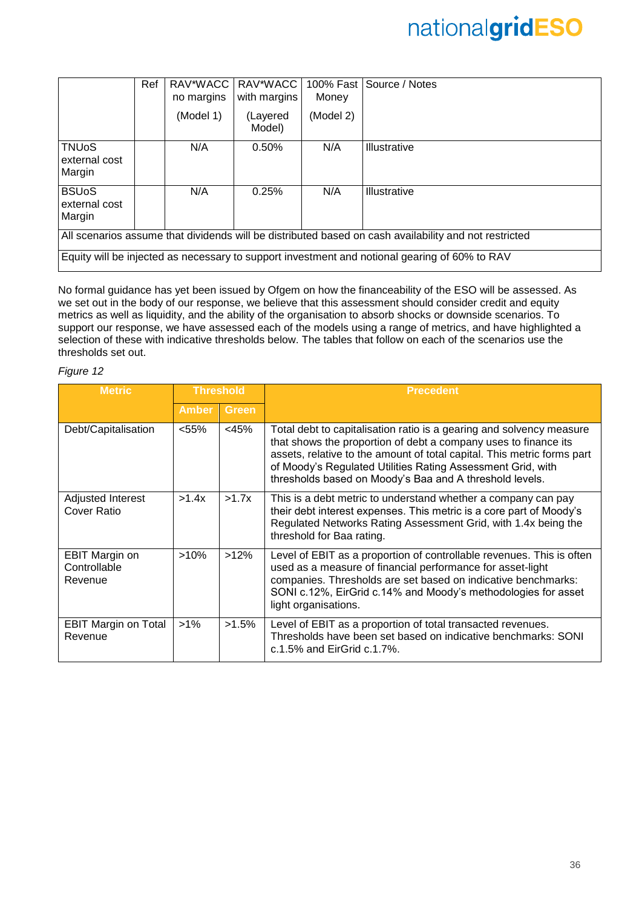|                                                                                                       | Ref | RAV*WACC<br>no margins | RAV*WACC<br>with margins | 100% Fast<br>Money | Source / Notes      |  |  |
|-------------------------------------------------------------------------------------------------------|-----|------------------------|--------------------------|--------------------|---------------------|--|--|
|                                                                                                       |     | (Model 1)              | (Layered<br>Model)       | (Model 2)          |                     |  |  |
| <b>TNUoS</b><br>external cost<br>Margin                                                               |     | N/A                    | 0.50%                    | N/A                | <b>Illustrative</b> |  |  |
| <b>BSUoS</b><br>external cost<br>Margin                                                               |     | N/A                    | 0.25%                    | N/A                | <b>Illustrative</b> |  |  |
| All scenarios assume that dividends will be distributed based on cash availability and not restricted |     |                        |                          |                    |                     |  |  |
| Equity will be injected as necessary to support investment and notional gearing of 60% to RAV         |     |                        |                          |                    |                     |  |  |

No formal guidance has yet been issued by Ofgem on how the financeability of the ESO will be assessed. As we set out in the body of our response, we believe that this assessment should consider credit and equity metrics as well as liquidity, and the ability of the organisation to absorb shocks or downside scenarios. To support our response, we have assessed each of the models using a range of metrics, and have highlighted a selection of these with indicative thresholds below. The tables that follow on each of the scenarios use the thresholds set out.

### *Figure 12*

| <b>Threshold</b><br><b>Metric</b>                |              |              | <b>Precedent</b>                                                                                                                                                                                                                                                                                                                             |
|--------------------------------------------------|--------------|--------------|----------------------------------------------------------------------------------------------------------------------------------------------------------------------------------------------------------------------------------------------------------------------------------------------------------------------------------------------|
|                                                  | <b>Amber</b> | <b>Green</b> |                                                                                                                                                                                                                                                                                                                                              |
| Debt/Capitalisation                              | < 55%        | $<$ 45%      | Total debt to capitalisation ratio is a gearing and solvency measure<br>that shows the proportion of debt a company uses to finance its<br>assets, relative to the amount of total capital. This metric forms part<br>of Moody's Regulated Utilities Rating Assessment Grid, with<br>thresholds based on Moody's Baa and A threshold levels. |
| Adjusted Interest<br><b>Cover Ratio</b>          | >1.4x        | >1.7x        | This is a debt metric to understand whether a company can pay<br>their debt interest expenses. This metric is a core part of Moody's<br>Regulated Networks Rating Assessment Grid, with 1.4x being the<br>threshold for Baa rating.                                                                                                          |
| <b>EBIT Margin on</b><br>Controllable<br>Revenue | >10%         | >12%         | Level of EBIT as a proportion of controllable revenues. This is often<br>used as a measure of financial performance for asset-light<br>companies. Thresholds are set based on indicative benchmarks:<br>SONI c.12%, EirGrid c.14% and Moody's methodologies for asset<br>light organisations.                                                |
| <b>EBIT Margin on Total</b><br>Revenue           | $>1\%$       | $>1.5\%$     | Level of EBIT as a proportion of total transacted revenues.<br>Thresholds have been set based on indicative benchmarks: SONI<br>c.1.5% and EirGrid c.1.7%.                                                                                                                                                                                   |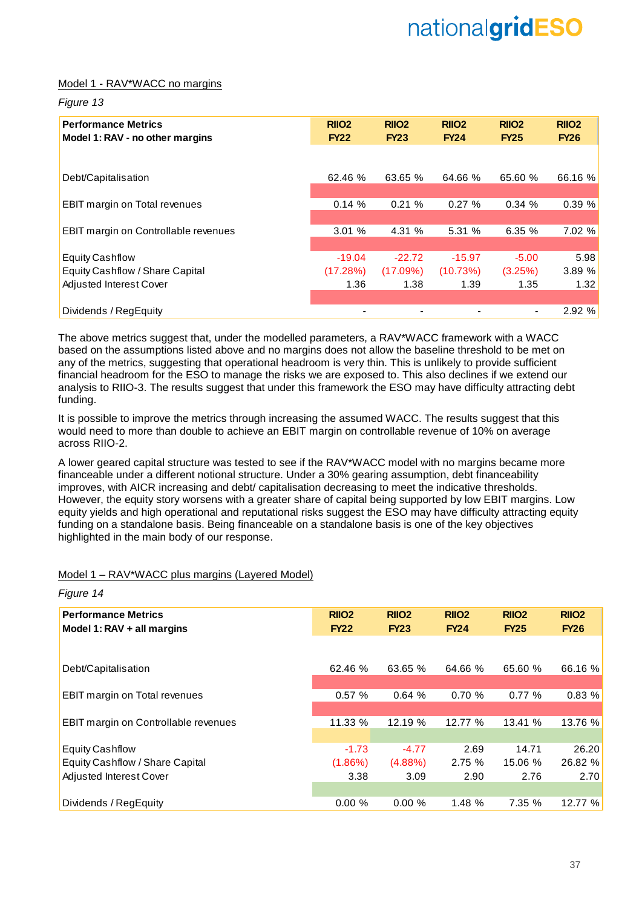### Model 1 - RAV\*WACC no margins

#### *Figure 13*

*Figure 14*

| <b>Performance Metrics</b><br>Model 1: RAV - no other margins | RIIO <sub>2</sub><br><b>FY22</b> | RIIO <sub>2</sub><br><b>FY23</b> | RIIO <sub>2</sub><br><b>FY24</b> | <b>RIIO2</b><br><b>FY25</b> | RIIO <sub>2</sub><br><b>FY26</b> |
|---------------------------------------------------------------|----------------------------------|----------------------------------|----------------------------------|-----------------------------|----------------------------------|
|                                                               |                                  |                                  |                                  |                             |                                  |
| Debt/Capitalisation                                           | 62.46 %                          | 63.65 %                          | 64.66 %                          | 65.60 %                     | 66.16 %                          |
|                                                               |                                  |                                  |                                  |                             |                                  |
| <b>EBIT margin on Total revenues</b>                          | 0.14%                            | 0.21%                            | 0.27%                            | 0.34%                       | 0.39%                            |
| <b>EBIT margin on Controllable revenues</b>                   | 3.01%                            | 4.31 %                           | 5.31%                            | 6.35%                       | 7.02 %                           |
| <b>Equity Cashflow</b>                                        | $-19.04$                         | $-22.72$                         | $-15.97$                         | $-5.00$                     | 5.98                             |
| Equity Cashflow / Share Capital                               | (17.28%)                         | (17.09%)                         | (10.73%)                         | (3.25%)                     | 3.89 %                           |
| Adjusted Interest Cover                                       | 1.36                             | 1.38                             | 1.39                             | 1.35                        | 1.32                             |
|                                                               |                                  |                                  |                                  |                             |                                  |
| Dividends / RegEquity                                         |                                  |                                  |                                  |                             | 2.92 %                           |

The above metrics suggest that, under the modelled parameters, a RAV\*WACC framework with a WACC based on the assumptions listed above and no margins does not allow the baseline threshold to be met on any of the metrics, suggesting that operational headroom is very thin. This is unlikely to provide sufficient financial headroom for the ESO to manage the risks we are exposed to. This also declines if we extend our analysis to RIIO-3. The results suggest that under this framework the ESO may have difficulty attracting debt funding.

It is possible to improve the metrics through increasing the assumed WACC. The results suggest that this would need to more than double to achieve an EBIT margin on controllable revenue of 10% on average across RIIO-2.

A lower geared capital structure was tested to see if the RAV\*WACC model with no margins became more financeable under a different notional structure. Under a 30% gearing assumption, debt financeability improves, with AICR increasing and debt/ capitalisation decreasing to meet the indicative thresholds. However, the equity story worsens with a greater share of capital being supported by low EBIT margins. Low equity yields and high operational and reputational risks suggest the ESO may have difficulty attracting equity funding on a standalone basis. Being financeable on a standalone basis is one of the key objectives highlighted in the main body of our response.

### Model 1 – RAV\*WACC plus margins (Layered Model)

| <b>Performance Metrics</b>                  | RIIO <sub>2</sub> | RIIO <sub>2</sub> | RIIO <sub>2</sub> | RIIO <sub>2</sub> | RIIO <sub>2</sub> |
|---------------------------------------------|-------------------|-------------------|-------------------|-------------------|-------------------|
| Model 1: $RAV + all$ margins                | <b>FY22</b>       | <b>FY23</b>       | <b>FY24</b>       | <b>FY25</b>       | <b>FY26</b>       |
|                                             |                   |                   |                   |                   |                   |
| Debt/Capitalisation                         | 62.46 %           | 63.65 %           | 64.66 %           | 65.60 %           | 66.16 %           |
|                                             |                   |                   |                   |                   |                   |
| EBIT margin on Total revenues               | 0.57%             | 0.64%             | 0.70%             | 0.77%             | 0.83 %            |
|                                             |                   |                   |                   |                   |                   |
| <b>EBIT margin on Controllable revenues</b> | 11.33 %           | 12.19 %           | 12.77 %           | 13.41 %           | 13.76 %           |
|                                             |                   |                   |                   |                   |                   |
| <b>Equity Cashflow</b>                      | $-1.73$           | $-4.77$           | 2.69              | 14.71             | 26.20             |
| Equity Cashflow / Share Capital             | $(1.86\%)$        | $(4.88\%)$        | 2.75%             | 15.06 %           | 26.82 %           |
| Adjusted Interest Cover                     | 3.38              | 3.09              | 2.90              | 2.76              | 2.70              |
|                                             |                   |                   |                   |                   |                   |
| Dividends / RegEquity                       | 0.00%             | 0.00%             | 1.48 %            | 7.35 %            | 12.77 %           |